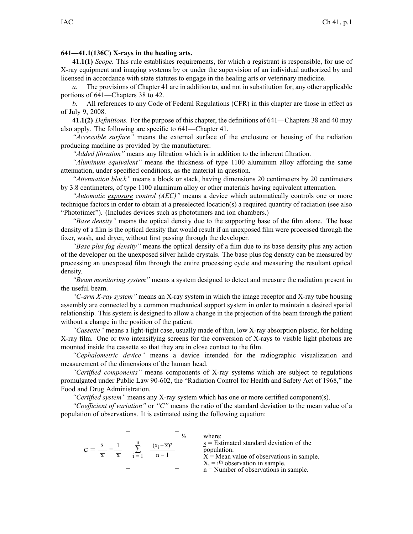## **641—41.1(136C) X-rays in the healing arts.**

**41.1(1)** *Scope.* This rule establishes requirements, for which <sup>a</sup> registrant is responsible, for use of X-ray equipment and imaging systems by or under the supervision of an individual authorized by and licensed in accordance with state statutes to engage in the healing arts or veterinary medicine.

*a.* The provisions of Chapter 41 are in addition to, and not in substitution for, any other applicable portions of 641—Chapters 38 to 42.

*b.* All references to any Code of Federal Regulations (CFR) in this chapter are those in effect as of July 9, 2008.

**41.1(2)** *Definitions.* For the purpose of this chapter, the definitions of 641—Chapters 38 and 40 may also apply. The following are specific to 641—Chapter 41.

*"Accessible surface"* means the external surface of the enclosure or housing of the radiation producing machine as provided by the manufacturer.

*"Added filtration"* means any filtration which is in addition to the inherent filtration.

*"Aluminum equivalent"* means the thickness of type 1100 aluminum alloy affording the same attenuation, under specified conditions, as the material in question.

*"Attenuation block"* means <sup>a</sup> block or stack, having dimensions 20 centimeters by 20 centimeters by 3.8 centimeters, of type 1100 aluminum alloy or other materials having equivalent attenuation.

*"Automatic exposure control (AEC)"* means <sup>a</sup> device which automatically controls one or more technique factors in order to obtain at <sup>a</sup> preselected location(s) <sup>a</sup> required quantity of radiation (see also "Phototimer"). (Includes devices such as phototimers and ion chambers.)

*"Base density"* means the optical density due to the supporting base of the film alone. The base density of <sup>a</sup> film is the optical density that would result if an unexposed film were processed through the fixer, wash, and dryer, without first passing through the developer.

*"Base plus fog density"* means the optical density of <sup>a</sup> film due to its base density plus any action of the developer on the unexposed silver halide crystals. The base plus fog density can be measured by processing an unexposed film through the entire processing cycle and measuring the resultant optical density.

*"Beam monitoring system"* means <sup>a</sup> system designed to detect and measure the radiation presen<sup>t</sup> in the useful beam.

*"C-arm X-ray system"* means an X-ray system in which the image receptor and X-ray tube housing assembly are connected by <sup>a</sup> common mechanical suppor<sup>t</sup> system in order to maintain <sup>a</sup> desired spatial relationship. This system is designed to allow <sup>a</sup> change in the projection of the beam through the patient without <sup>a</sup> change in the position of the patient.

*"Cassette"* means <sup>a</sup> light-tight case, usually made of thin, low X-ray absorption plastic, for holding X-ray film. One or two intensifying screens for the conversion of X-rays to visible light photons are mounted inside the cassette so that they are in close contact to the film.

*"Cephalometric device"* means <sup>a</sup> device intended for the radiographic visualization and measurement of the dimensions of the human head.

*"Certified components"* means components of X-ray systems which are subject to regulations promulgated under Public Law 90-602, the "Radiation Control for Health and Safety Act of 1968," the Food and Drug Administration.

*"Certified system"* means any X-ray system which has one or more certified component(s).

*"Coefficient of variation"* or *"C"* means the ratio of the standard deviation to the mean value of <sup>a</sup> population of observations. It is estimated using the following equation:

| $(x_i - \overline{x})^2$<br>$\overline{x}$<br>$n-1$<br>X | where:<br>$s =$ Estimated standard deviation of the<br>population.<br>$X =$ Mean value of observations in sample.<br>$X_i$ = i <sup>th</sup> observation in sample.<br>$n =$ Number of observations in sample. |
|----------------------------------------------------------|----------------------------------------------------------------------------------------------------------------------------------------------------------------------------------------------------------------|
|----------------------------------------------------------|----------------------------------------------------------------------------------------------------------------------------------------------------------------------------------------------------------------|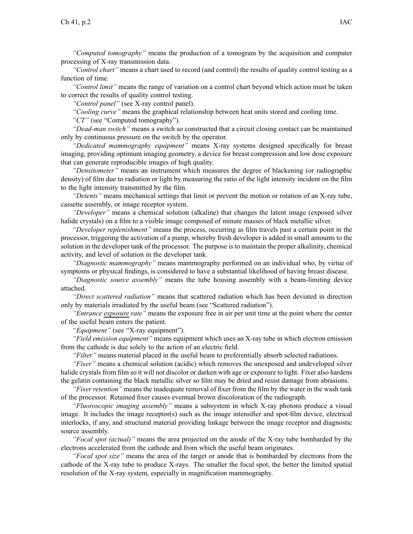*"Computed tomography"* means the production of <sup>a</sup> tomogram by the acquisition and computer processing of X-ray transmission data.

*"Control chart"* means <sup>a</sup> chart used to record (and control) the results of quality control testing as <sup>a</sup> function of time.

*"Control limit"* means the range of variation on <sup>a</sup> control chart beyond which action must be taken to correct the results of quality control testing.

*"Control panel"* (see X-ray control panel).

*"Cooling curve"* means the graphical relationship between heat units stored and cooling time.

*"CT"* (see "Computed tomography").

*"Dead-man switch"* means <sup>a</sup> switch so constructed that <sup>a</sup> circuit closing contact can be maintained only by continuous pressure on the switch by the operator.

*"Dedicated mammography equipment"* means X-ray systems designed specifically for breast imaging, providing optimum imaging geometry, <sup>a</sup> device for breast compression and low dose exposure that can generate reproducible images of high quality.

*"Densitometer"* means an instrument which measures the degree of blackening (or radiographic density) of film due to radiation or light by measuring the ratio of the light intensity incident on the film to the light intensity transmitted by the film.

*"Detents"* means mechanical settings that limit or preven<sup>t</sup> the motion or rotation of an X-ray tube, cassette assembly, or image receptor system.

*"Developer"* means <sup>a</sup> chemical solution (alkaline) that changes the latent image (exposed silver halide crystals) on <sup>a</sup> film to <sup>a</sup> visible image composed of minute masses of black metallic silver.

*"Developer replenishment"* means the process, occurring as film travels pas<sup>t</sup> <sup>a</sup> certain point in the processor, triggering the activation of <sup>a</sup> pump, whereby fresh developer is added in small amounts to the solution in the developer tank of the processor. The purpose is to maintain the proper alkalinity, chemical activity, and level of solution in the developer tank.

*"Diagnostic mammography"* means mammography performed on an individual who, by virtue of symptoms or physical findings, is considered to have <sup>a</sup> substantial likelihood of having breast disease.

*"Diagnostic source assembly"* means the tube housing assembly with <sup>a</sup> beam-limiting device attached.

*"Direct scattered radiation"* means that scattered radiation which has been deviated in direction only by materials irradiated by the useful beam (see "Scattered radiation").

*"Entrance exposure rate"* means the exposure free in air per unit time at the point where the center of the useful beam enters the patient.

*"Equipment"* (see "X-ray equipment").

*"Field emission equipment"* means equipment which uses an X-ray tube in which electron emission from the cathode is due solely to the action of an electric field.

*"Filter"* means material placed in the useful beam to preferentially absorb selected radiations.

*"Fixer"* means <sup>a</sup> chemical solution (acidic) which removes the unexposed and undeveloped silver halide crystals from film so it will not discolor or darken with age or exposure to light. Fixer also hardens the gelatin containing the black metallic silver so film may be dried and resist damage from abrasions.

*"Fixer retention"* means the inadequate removal of fixer from the film by the water in the wash tank of the processor. Retained fixer causes eventual brown discoloration of the radiograph.

*"Fluoroscopic imaging assembly"* means <sup>a</sup> subsystem in which X-ray photons produce <sup>a</sup> visual image. It includes the image receptor(s) such as the image intensifier and spot-film device, electrical interlocks, if any, and structural material providing linkage between the image receptor and diagnostic source assembly.

*"Focal spo<sup>t</sup> (actual)"* means the area projected on the anode of the X-ray tube bombarded by the electrons accelerated from the cathode and from which the useful beam originates.

*"Focal spo<sup>t</sup> size"* means the area of the target or anode that is bombarded by electrons from the cathode of the X-ray tube to produce X-rays. The smaller the focal spot, the better the limited spatial resolution of the X-ray system, especially in magnification mammography.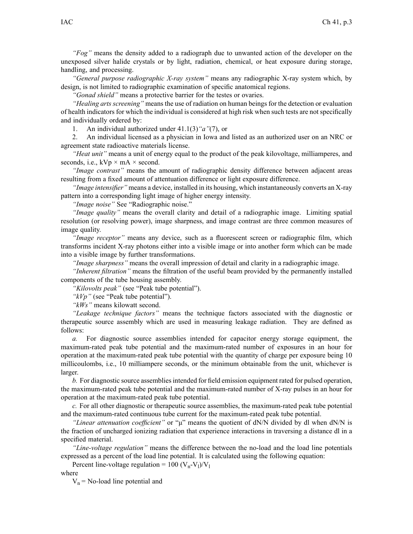*"Fog"* means the density added to <sup>a</sup> radiograph due to unwanted action of the developer on the unexposed silver halide crystals or by light, radiation, chemical, or heat exposure during storage, handling, and processing.

*"General purpose radiographic X-ray system"* means any radiographic X-ray system which, by design, is not limited to radiographic examination of specific anatomical regions.

*"Gonad shield"* means <sup>a</sup> protective barrier for the testes or ovaries.

*"Healing arts screening"* means the use of radiation on human beings for the detection or evaluation of health indicators for which the individual is considered at high risk when such tests are not specifically and individually ordered by:

1. An individual authorized under 41.1(3)*"a"*(7), or

2. An individual licensed as <sup>a</sup> physician in Iowa and listed as an authorized user on an NRC or agreemen<sup>t</sup> state radioactive materials license.

*"Heat unit"* means <sup>a</sup> unit of energy equal to the product of the peak kilovoltage, milliamperes, and seconds, i.e.,  $kVp \times mA \times second$ .

*"Image contrast"* means the amount of radiographic density difference between adjacent areas resulting from a fixed amount of attentuation difference or light exposure difference.

*"Image intensifier"* means <sup>a</sup> device, installed in its housing, which instantaneously converts an X-ray pattern into <sup>a</sup> corresponding light image of higher energy intensity.

*"Image noise"* See "Radiographic noise."

*"Image quality"* means the overall clarity and detail of <sup>a</sup> radiographic image. Limiting spatial resolution (or resolving power), image sharpness, and image contrast are three common measures of image quality.

*"Image receptor"* means any device, such as <sup>a</sup> fluorescent screen or radiographic film, which transforms incident X-ray photons either into <sup>a</sup> visible image or into another form which can be made into <sup>a</sup> visible image by further transformations.

*"Image sharpness"* means the overall impression of detail and clarity in <sup>a</sup> radiographic image.

*"Inherent filtration"* means the filtration of the useful beam provided by the permanently installed components of the tube housing assembly.

*"Kilovolts peak"* (see "Peak tube potential").

*"kVp"* (see "Peak tube potential").

*"kWs"* means kilowatt second.

*"Leakage technique factors"* means the technique factors associated with the diagnostic or therapeutic source assembly which are used in measuring leakage radiation. They are defined as follows:

*a.* For diagnostic source assemblies intended for capacitor energy storage equipment, the maximum-rated peak tube potential and the maximum-rated number of exposures in an hour for operation at the maximum-rated peak tube potential with the quantity of charge per exposure being 10 millicoulombs, i.e., 10 milliampere seconds, or the minimum obtainable from the unit, whichever is larger.

*b.* For diagnostic source assembliesintended for field emission equipment rated for pulsed operation, the maximum-rated peak tube potential and the maximum-rated number of X-ray pulses in an hour for operation at the maximum-rated peak tube potential.

*c.* For all other diagnostic or therapeutic source assemblies, the maximum-rated peak tube potential and the maximum-rated continuous tube current for the maximum-rated peak tube potential.

*"Linear attenuation coefficient"* or "μ" means the quotient of dN/N divided by dl when dN/N is the fraction of uncharged ionizing radiation that experience interactions in traversing <sup>a</sup> distance dl in <sup>a</sup> specified material.

*"Line-voltage regulation"* means the difference between the no-load and the load line potentials expressed as <sup>a</sup> percen<sup>t</sup> of the load line potential. It is calculated using the following equation:

Percent line-voltage regulation =  $100 (V_n-V_l)/V_l$ 

where

 $V_n$  = No-load line potential and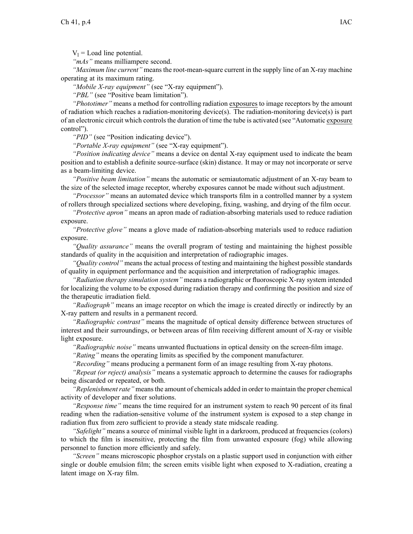$V_1$  = Load line potential.

*"mAs"* means milliampere second.

*"Maximum line current"* means the root-mean-square current in the supply line of an X-ray machine operating at its maximum rating.

*"Mobile X-ray equipment"* (see "X-ray equipment").

*"PBL"* (see "Positive beam limitation").

*"Phototimer"* means <sup>a</sup> method for controlling radiation exposures to image receptors by the amount of radiation which reaches <sup>a</sup> radiation-monitoring device(s). The radiation-monitoring device(s) is par<sup>t</sup> of an electronic circuit which controlsthe duration of time the tube is activated (see "Automatic exposure control").

"PID" (see "Position indicating device").

*"Portable X-ray equipment"* (see "X-ray equipment").

*"Position indicating device"* means <sup>a</sup> device on dental X-ray equipment used to indicate the beam position and to establish <sup>a</sup> definite source-surface (skin) distance. It may or may not incorporate or serve as <sup>a</sup> beam-limiting device.

*"Positive beam limitation"* means the automatic or semiautomatic adjustment of an X-ray beam to the size of the selected image receptor, whereby exposures cannot be made without such adjustment.

*"Processor"* means an automated device which transports film in <sup>a</sup> controlled manner by <sup>a</sup> system of rollers through specialized sections where developing, fixing, washing, and drying of the film occur.

*"Protective apron"* means an apron made of radiation-absorbing materials used to reduce radiation exposure.

*"Protective glove"* means <sup>a</sup> glove made of radiation-absorbing materials used to reduce radiation exposure.

*"Quality assurance"* means the overall program of testing and maintaining the highest possible standards of quality in the acquisition and interpretation of radiographic images.

*"Quality control"* means the actual process of testing and maintaining the highest possible standards of quality in equipment performance and the acquisition and interpretation of radiographic images.

*"Radiation therapy simulation system"* means <sup>a</sup> radiographic or fluoroscopic X-ray system intended for localizing the volume to be exposed during radiation therapy and confirming the position and size of the therapeutic irradiation field.

*"Radiograph"* means an image receptor on which the image is created directly or indirectly by an X-ray pattern and results in <sup>a</sup> permanen<sup>t</sup> record.

*"Radiographic contrast"* means the magnitude of optical density difference between structures of interest and their surroundings, or between areas of film receiving different amount of X-ray or visible light exposure.

*"Radiographic noise"* means unwanted fluctuations in optical density on the screen-film image.

*"Rating"* means the operating limits as specified by the componen<sup>t</sup> manufacturer.

*"Recording"* means producing <sup>a</sup> permanen<sup>t</sup> form of an image resulting from X-ray photons.

*"Repeat (or reject) analysis"* means <sup>a</sup> systematic approach to determine the causes for radiographs being discarded or repeated, or both.

"Replenishment rate" means the amount of chemicals added in order to maintain the proper chemical activity of developer and fixer solutions.

*"Response time"* means the time required for an instrument system to reach 90 percen<sup>t</sup> of its final reading when the radiation-sensitive volume of the instrument system is exposed to <sup>a</sup> step change in radiation flux from zero sufficient to provide <sup>a</sup> steady state midscale reading.

*"Safelight"* means <sup>a</sup> source of minimal visible light in <sup>a</sup> darkroom, produced at frequencies (colors) to which the film is insensitive, protecting the film from unwanted exposure (fog) while allowing personnel to function more efficiently and safely.

*"Screen"* means microscopic phosphor crystals on <sup>a</sup> plastic suppor<sup>t</sup> used in conjunction with either single or double emulsion film; the screen emits visible light when exposed to X-radiation, creating <sup>a</sup> latent image on X-ray film.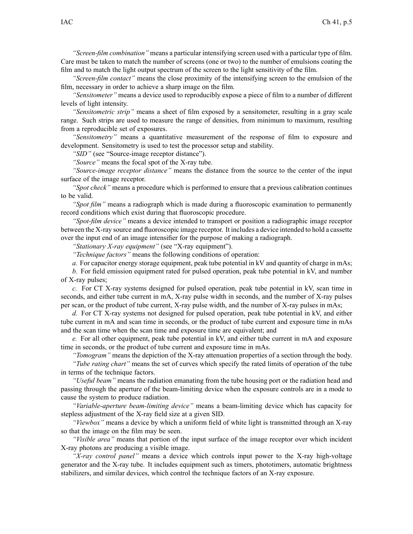*"Screen-film combination"* means <sup>a</sup> particular intensifying screen used with <sup>a</sup> particular type of film. Care must be taken to match the number of screens (one or two) to the number of emulsions coating the film and to match the light output spectrum of the screen to the light sensitivity of the film.

*"Screen-film contact"* means the close proximity of the intensifying screen to the emulsion of the film, necessary in order to achieve <sup>a</sup> sharp image on the film.

*"Sensitometer"* means <sup>a</sup> device used to reproducibly expose <sup>a</sup> piece of film to <sup>a</sup> number of different levels of light intensity.

*"Sensitometric strip"* means <sup>a</sup> sheet of film exposed by <sup>a</sup> sensitometer, resulting in <sup>a</sup> gray scale range. Such strips are used to measure the range of densities, from minimum to maximum, resulting from <sup>a</sup> reproducible set of exposures.

*"Sensitometry"* means <sup>a</sup> quantitative measurement of the response of film to exposure and development. Sensitometry is used to test the processor setup and stability.

*"SID"* (see "Source-image receptor distance").

*"Source"* means the focal spo<sup>t</sup> of the X-ray tube.

*"Source-image receptor distance"* means the distance from the source to the center of the input surface of the image receptor.

*"Spot check"* means <sup>a</sup> procedure which is performed to ensure that <sup>a</sup> previous calibration continues to be valid.

*"Spot film"* means <sup>a</sup> radiograph which is made during <sup>a</sup> fluoroscopic examination to permanently record conditions which exist during that fluoroscopic procedure.

*"Spot-film device"* means <sup>a</sup> device intended to transport or position <sup>a</sup> radiographic image receptor between the X-ray source and fluoroscopic image receptor. It includes <sup>a</sup> device intended to hold <sup>a</sup> cassette over the input end of an image intensifier for the purpose of making <sup>a</sup> radiograph.

*"Stationary X-ray equipment"* (see "X-ray equipment").

*"Technique factors"* means the following conditions of operation:

*a.* For capacitor energy storage equipment, peak tube potential in kV and quantity of charge in mAs;

*b.* For field emission equipment rated for pulsed operation, peak tube potential in kV, and number of X-ray pulses;

*c.* For CT X-ray systems designed for pulsed operation, peak tube potential in kV, scan time in seconds, and either tube current in mA, X-ray pulse width in seconds, and the number of X-ray pulses per scan, or the product of tube current, X-ray pulse width, and the number of X-ray pulses in mAs;

*d.* For CT X-ray systems not designed for pulsed operation, peak tube potential in kV, and either tube current in mA and scan time in seconds, or the product of tube current and exposure time in mAs and the scan time when the scan time and exposure time are equivalent; and

*e.* For all other equipment, peak tube potential in kV, and either tube current in mA and exposure time in seconds, or the product of tube current and exposure time in mAs.

*"Tomogram"* means the depiction of the X-ray attenuation properties of <sup>a</sup> section through the body.

*"Tube rating chart"* means the set of curves which specify the rated limits of operation of the tube in terms of the technique factors.

*"Useful beam"* means the radiation emanating from the tube housing por<sup>t</sup> or the radiation head and passing through the aperture of the beam-limiting device when the exposure controls are in <sup>a</sup> mode to cause the system to produce radiation.

*"Variable-aperture beam-limiting device"* means <sup>a</sup> beam-limiting device which has capacity for stepless adjustment of the X-ray field size at <sup>a</sup> given SID.

*"Viewbox"* means <sup>a</sup> device by which <sup>a</sup> uniform field of white light is transmitted through an X-ray so that the image on the film may be seen.

*"Visible area"* means that portion of the input surface of the image receptor over which incident X-ray photons are producing <sup>a</sup> visible image.

*"X-ray control panel"* means <sup>a</sup> device which controls input power to the X-ray high-voltage generator and the X-ray tube. It includes equipment such as timers, phototimers, automatic brightness stabilizers, and similar devices, which control the technique factors of an X-ray exposure.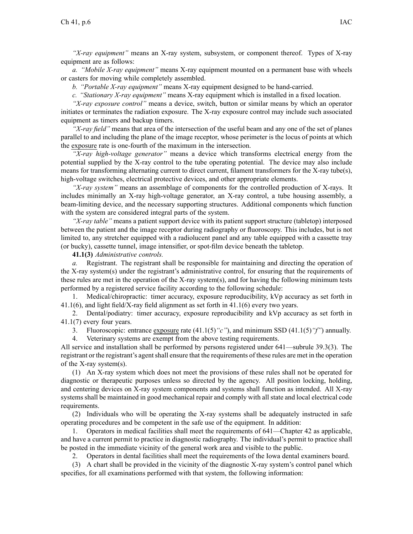*"X-ray equipment"* means an X-ray system, subsystem, or componen<sup>t</sup> thereof. Types of X-ray equipment are as follows:

*a. "Mobile X-ray equipment"* means X-ray equipment mounted on <sup>a</sup> permanen<sup>t</sup> base with wheels or casters for moving while completely assembled.

*b. "Portable X-ray equipment"* means X-ray equipment designed to be hand-carried.

*c. "Stationary X-ray equipment"* means X-ray equipment which is installed in <sup>a</sup> fixed location.

*"X-ray exposure control"* means <sup>a</sup> device, switch, button or similar means by which an operator initiates or terminates the radiation exposure. The X-ray exposure control may include such associated equipment as timers and backup timers.

*"X-ray field"* means that area of the intersection of the useful beam and any one of the set of planes parallel to and including the plane of the image receptor, whose perimeter is the locus of points at which the exposure rate is one-fourth of the maximum in the intersection.

*"X-ray high-voltage generator"* means <sup>a</sup> device which transforms electrical energy from the potential supplied by the X-ray control to the tube operating potential. The device may also include means for transforming alternating current to direct current, filament transformers for the X-ray tube(s), high-voltage switches, electrical protective devices, and other appropriate elements.

*"X-ray system"* means an assemblage of components for the controlled production of X-rays. It includes minimally an X-ray high-voltage generator, an X-ray control, <sup>a</sup> tube housing assembly, <sup>a</sup> beam-limiting device, and the necessary supporting structures. Additional components which function with the system are considered integral parts of the system.

*"X-ray table"* means <sup>a</sup> patient suppor<sup>t</sup> device with its patient suppor<sup>t</sup> structure (tabletop) interposed between the patient and the image receptor during radiography or fluoroscopy. This includes, but is not limited to, any stretcher equipped with <sup>a</sup> radiolucent panel and any table equipped with <sup>a</sup> cassette tray (or bucky), cassette tunnel, image intensifier, or spot-film device beneath the tabletop.

**41.1(3)** *Administrative controls.*

*a.* Registrant. The registrant shall be responsible for maintaining and directing the operation of the X-ray system(s) under the registrant's administrative control, for ensuring that the requirements of these rules are met in the operation of the X-ray system(s), and for having the following minimum tests performed by <sup>a</sup> registered service facility according to the following schedule:

1. Medical/chiropractic: timer accuracy, exposure reproducibility, kVp accuracy as set forth in 41.1(6), and light field/X-ray field alignment as set forth in 41.1(6) every two years.

2. Dental/podiatry: timer accuracy, exposure reproducibility and kVp accuracy as set forth in 41.1(7) every four years.

3. Fluoroscopic: entrance exposure rate (41.1(5)*"c"*), and minimum SSD (41.1(5)*"f"*) annually.

4. Veterinary systems are exemp<sup>t</sup> from the above testing requirements.

All service and installation shall be performed by persons registered under 641—subrule 39.3(3). The registrant or the registrant's agentshall ensure that the requirements of these rules are met in the operation of the X-ray system(s).

(1) An X-ray system which does not meet the provisions of these rules shall not be operated for diagnostic or therapeutic purposes unless so directed by the agency. All position locking, holding, and centering devices on X-ray system components and systems shall function as intended. All X-ray systems shall be maintained in good mechanical repair and comply with all state and local electrical code requirements.

(2) Individuals who will be operating the X-ray systems shall be adequately instructed in safe operating procedures and be competent in the safe use of the equipment. In addition:

1. Operators in medical facilities shall meet the requirements of 641—Chapter 42 as applicable, and have <sup>a</sup> current permit to practice in diagnostic radiography. The individual's permit to practice shall be posted in the immediate vicinity of the general work area and visible to the public.

2. Operators in dental facilities shall meet the requirements of the Iowa dental examiners board.

(3) A chart shall be provided in the vicinity of the diagnostic X-ray system's control panel which specifies, for all examinations performed with that system, the following information: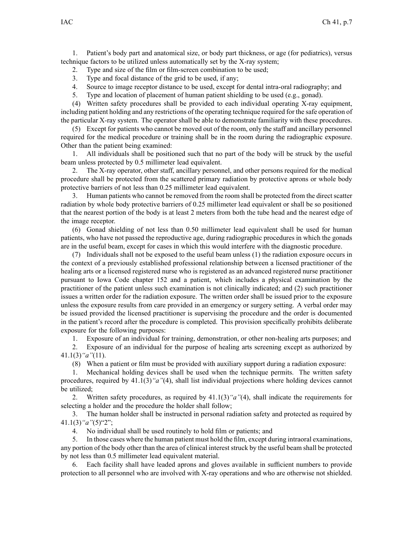1. Patient's body par<sup>t</sup> and anatomical size, or body par<sup>t</sup> thickness, or age (for pediatrics), versus technique factors to be utilized unless automatically set by the X-ray system;

2. Type and size of the film or film-screen combination to be used;

3. Type and focal distance of the grid to be used, if any;

4. Source to image receptor distance to be used, excep<sup>t</sup> for dental intra-oral radiography; and

5. Type and location of placement of human patient shielding to be used (e.g., gonad).

(4) Written safety procedures shall be provided to each individual operating X-ray equipment, including patient holding and any restrictions of the operating technique required for the safe operation of the particular X-ray system. The operator shall be able to demonstrate familiarity with these procedures.

(5) Except for patients who cannot be moved out of the room, only the staff and ancillary personnel required for the medical procedure or training shall be in the room during the radiographic exposure. Other than the patient being examined:

1. All individuals shall be positioned such that no par<sup>t</sup> of the body will be struck by the useful beam unless protected by 0.5 millimeter lead equivalent.

2. The X-ray operator, other staff, ancillary personnel, and other persons required for the medical procedure shall be protected from the scattered primary radiation by protective aprons or whole body protective barriers of not less than 0.25 millimeter lead equivalent.

3. Human patients who cannot be removed from the room shall be protected from the direct scatter radiation by whole body protective barriers of 0.25 millimeter lead equivalent or shall be so positioned that the nearest portion of the body is at least 2 meters from both the tube head and the nearest edge of the image receptor.

(6) Gonad shielding of not less than 0.50 millimeter lead equivalent shall be used for human patients, who have not passed the reproductive age, during radiographic procedures in which the gonads are in the useful beam, excep<sup>t</sup> for cases in which this would interfere with the diagnostic procedure.

(7) Individuals shall not be exposed to the useful beam unless (1) the radiation exposure occurs in the context of <sup>a</sup> previously established professional relationship between <sup>a</sup> licensed practitioner of the healing arts or <sup>a</sup> licensed registered nurse who is registered as an advanced registered nurse practitioner pursuan<sup>t</sup> to Iowa Code chapter 152 and <sup>a</sup> patient, which includes <sup>a</sup> physical examination by the practitioner of the patient unless such examination is not clinically indicated; and (2) such practitioner issues <sup>a</sup> written order for the radiation exposure. The written order shall be issued prior to the exposure unless the exposure results from care provided in an emergency or surgery setting. A verbal order may be issued provided the licensed practitioner is supervising the procedure and the order is documented in the patient's record after the procedure is completed. This provision specifically prohibits deliberate exposure for the following purposes:

1. Exposure of an individual for training, demonstration, or other non-healing arts purposes; and

2. Exposure of an individual for the purpose of healing arts screening excep<sup>t</sup> as authorized by 41.1(3)*"a"*(11).

(8) When <sup>a</sup> patient or film must be provided with auxiliary suppor<sup>t</sup> during <sup>a</sup> radiation exposure:

1. Mechanical holding devices shall be used when the technique permits. The written safety procedures, required by 41.1(3)*"a"*(4), shall list individual projections where holding devices cannot be utilized;

2. Written safety procedures, as required by 41.1(3)*"a"*(4), shall indicate the requirements for selecting <sup>a</sup> holder and the procedure the holder shall follow;

3. The human holder shall be instructed in personal radiation safety and protected as required by 41.1(3)*"a"*(5)"2";

4. No individual shall be used routinely to hold film or patients; and

5. In those cases where the human patient must hold the film, excep<sup>t</sup> during intraoral examinations, any portion of the body other than the area of clinical interest struck by the useful beam shall be protected by not less than 0.5 millimeter lead equivalent material.

6. Each facility shall have leaded aprons and gloves available in sufficient numbers to provide protection to all personnel who are involved with X-ray operations and who are otherwise not shielded.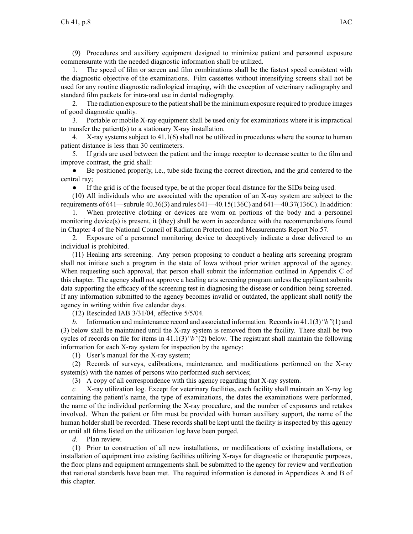(9) Procedures and auxiliary equipment designed to minimize patient and personnel exposure commensurate with the needed diagnostic information shall be utilized.

1. The speed of film or screen and film combinations shall be the fastest speed consistent with the diagnostic objective of the examinations. Film cassettes without intensifying screens shall not be used for any routine diagnostic radiological imaging, with the exception of veterinary radiography and standard film packets for intra-oral use in dental radiography.

2. The radiation exposure to the patient shall be the minimum exposure required to produce images of good diagnostic quality.

3. Portable or mobile X-ray equipment shall be used only for examinations where it is impractical to transfer the patient(s) to <sup>a</sup> stationary X-ray installation.

4. X-ray systems subject to 41.1(6) shall not be utilized in procedures where the source to human patient distance is less than 30 centimeters.

5. If grids are used between the patient and the image receptor to decrease scatter to the film and improve contrast, the grid shall:

● Be positioned properly, i.e., tube side facing the correct direction, and the grid centered to the central ray;

 $\bullet$ If the grid is of the focused type, be at the proper focal distance for the SIDs being used.

(10) All individuals who are associated with the operation of an X-ray system are subject to the requirements of 641—subrule 40.36(3) and rules 641—40.15(136C) and 641—40.37(136C). In addition:

1. When protective clothing or devices are worn on portions of the body and <sup>a</sup> personnel monitoring device(s) is present, it (they) shall be worn in accordance with the recommendations found in Chapter 4 of the National Council of Radiation Protection and Measurements Report No.57.

2. Exposure of <sup>a</sup> personnel monitoring device to deceptively indicate <sup>a</sup> dose delivered to an individual is prohibited.

(11) Healing arts screening. Any person proposing to conduct <sup>a</sup> healing arts screening program shall not initiate such <sup>a</sup> program in the state of Iowa without prior written approval of the agency. When requesting such approval, that person shall submit the information outlined in Appendix C of this chapter. The agency shall not approve <sup>a</sup> healing arts screening program unless the applicant submits data supporting the efficacy of the screening test in diagnosing the disease or condition being screened. If any information submitted to the agency becomes invalid or outdated, the applicant shall notify the agency in writing within five calendar days.

(12) Rescinded IAB 3/31/04, effective 5/5/04.

*b.* Information and maintenance record and associated information. Records in 41.1(3)*"b"*(1) and (3) below shall be maintained until the X-ray system is removed from the facility. There shall be two cycles of records on file for items in 41.1(3)*"b"*(2) below. The registrant shall maintain the following information for each X-ray system for inspection by the agency:

(1) User's manual for the X-ray system;

(2) Records of surveys, calibrations, maintenance, and modifications performed on the X-ray system(s) with the names of persons who performed such services;

(3) A copy of all correspondence with this agency regarding that X-ray system.

*c.* X-ray utilization log. Except for veterinary facilities, each facility shall maintain an X-ray log containing the patient's name, the type of examinations, the dates the examinations were performed, the name of the individual performing the X-ray procedure, and the number of exposures and retakes involved. When the patient or film must be provided with human auxiliary support, the name of the human holder shall be recorded. These records shall be kept until the facility is inspected by this agency or until all films listed on the utilization log have been purged.

*d.* Plan review.

(1) Prior to construction of all new installations, or modifications of existing installations, or installation of equipment into existing facilities utilizing X-rays for diagnostic or therapeutic purposes, the floor plans and equipment arrangements shall be submitted to the agency for review and verification that national standards have been met. The required information is denoted in Appendices A and B of this chapter.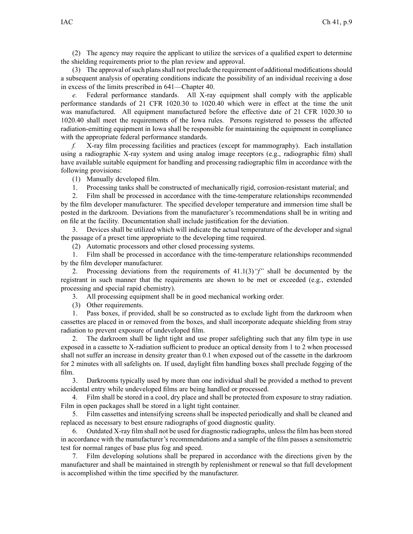(2) The agency may require the applicant to utilize the services of <sup>a</sup> qualified exper<sup>t</sup> to determine the shielding requirements prior to the plan review and approval.

(3) The approval ofsuch plansshall not preclude the requirement of additional modificationsshould <sup>a</sup> subsequent analysis of operating conditions indicate the possibility of an individual receiving <sup>a</sup> dose in excess of the limits prescribed in 641—Chapter 40.

*e.* Federal performance standards. All X-ray equipment shall comply with the applicable performance standards of 21 CFR 1020.30 to 1020.40 which were in effect at the time the unit was manufactured. All equipment manufactured before the effective date of 21 CFR 1020.30 to 1020.40 shall meet the requirements of the Iowa rules. Persons registered to possess the affected radiation-emitting equipment in Iowa shall be responsible for maintaining the equipment in compliance with the appropriate federal performance standards.

*f.* X-ray film processing facilities and practices (except for mammography). Each installation using <sup>a</sup> radiographic X-ray system and using analog image receptors (e.g., radiographic film) shall have available suitable equipment for handling and processing radiographic film in accordance with the following provisions:

(1) Manually developed film.

1. Processing tanks shall be constructed of mechanically rigid, corrosion-resistant material; and

2. Film shall be processed in accordance with the time-temperature relationships recommended by the film developer manufacturer. The specified developer temperature and immersion time shall be posted in the darkroom. Deviations from the manufacturer's recommendations shall be in writing and on file at the facility. Documentation shall include justification for the deviation.

3. Devices shall be utilized which will indicate the actual temperature of the developer and signal the passage of <sup>a</sup> prese<sup>t</sup> time appropriate to the developing time required.

(2) Automatic processors and other closed processing systems.

1. Film shall be processed in accordance with the time-temperature relationships recommended by the film developer manufacturer.

2. Processing deviations from the requirements of 41.1(3)*"f"* shall be documented by the registrant in such manner that the requirements are shown to be met or exceeded (e.g., extended processing and special rapid chemistry).

3. All processing equipment shall be in good mechanical working order.

(3) Other requirements.

1. Pass boxes, if provided, shall be so constructed as to exclude light from the darkroom when cassettes are placed in or removed from the boxes, and shall incorporate adequate shielding from stray radiation to preven<sup>t</sup> exposure of undeveloped film.

2. The darkroom shall be light tight and use proper safelighting such that any film type in use exposed in <sup>a</sup> cassette to X-radiation sufficient to produce an optical density from 1 to 2 when processed shall not suffer an increase in density greater than 0.1 when exposed out of the cassette in the darkroom for 2 minutes with all safelights on. If used, daylight film handling boxes shall preclude fogging of the film.

3. Darkrooms typically used by more than one individual shall be provided <sup>a</sup> method to preven<sup>t</sup> accidental entry while undeveloped films are being handled or processed.

4. Film shall be stored in <sup>a</sup> cool, dry place and shall be protected from exposure to stray radiation. Film in open packages shall be stored in <sup>a</sup> light tight container.

5. Film cassettes and intensifying screens shall be inspected periodically and shall be cleaned and replaced as necessary to best ensure radiographs of good diagnostic quality.

6. Outdated X-ray film shall not be used for diagnostic radiographs, unlessthe film has been stored in accordance with the manufacturer's recommendations and <sup>a</sup> sample of the film passes <sup>a</sup> sensitometric test for normal ranges of base plus fog and speed.

7. Film developing solutions shall be prepared in accordance with the directions given by the manufacturer and shall be maintained in strength by replenishment or renewal so that full development is accomplished within the time specified by the manufacturer.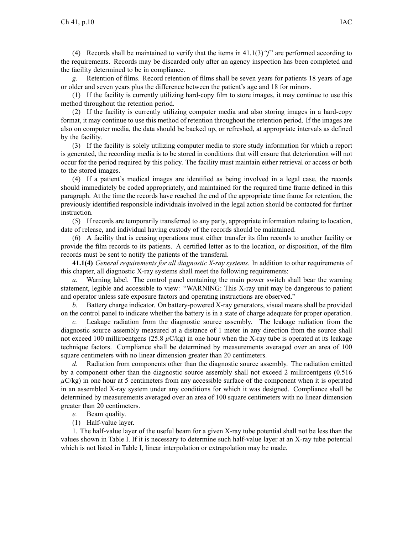(4) Records shall be maintained to verify that the items in  $41.1(3)$  "f" are performed according to the requirements. Records may be discarded only after an agency inspection has been completed and the facility determined to be in compliance.

*g.* Retention of films. Record retention of films shall be seven years for patients 18 years of age or older and seven years plus the difference between the patient's age and 18 for minors.

(1) If the facility is currently utilizing hard-copy film to store images, it may continue to use this method throughout the retention period.

(2) If the facility is currently utilizing computer media and also storing images in <sup>a</sup> hard-copy format, it may continue to use this method of retention throughout the retention period. If the images are also on computer media, the data should be backed up, or refreshed, at appropriate intervals as defined by the facility.

(3) If the facility is solely utilizing computer media to store study information for which <sup>a</sup> repor<sup>t</sup> is generated, the recording media is to be stored in conditions that will ensure that deterioration will not occur for the period required by this policy. The facility must maintain either retrieval or access or both to the stored images.

(4) If <sup>a</sup> patient's medical images are identified as being involved in <sup>a</sup> legal case, the records should immediately be coded appropriately, and maintained for the required time frame defined in this paragraph. At the time the records have reached the end of the appropriate time frame for retention, the previously identified responsible individuals involved in the legal action should be contacted for further instruction.

(5) If records are temporarily transferred to any party, appropriate information relating to location, date of release, and individual having custody of the records should be maintained.

(6) A facility that is ceasing operations must either transfer its film records to another facility or provide the film records to its patients. A certified letter as to the location, or disposition, of the film records must be sent to notify the patients of the transferal.

**41.1(4)** *General requirements for all diagnostic X-ray systems.* In addition to other requirements of this chapter, all diagnostic X-ray systems shall meet the following requirements:

*a.* Warning label. The control panel containing the main power switch shall bear the warning statement, legible and accessible to view: "WARNING: This X-ray unit may be dangerous to patient and operator unless safe exposure factors and operating instructions are observed."

*b.* Battery charge indicator. On battery-powered X-ray generators, visual means shall be provided on the control panel to indicate whether the battery is in <sup>a</sup> state of charge adequate for proper operation.

*c.* Leakage radiation from the diagnostic source assembly. The leakage radiation from the diagnostic source assembly measured at <sup>a</sup> distance of 1 meter in any direction from the source shall not exceed 100 milliroentgens (25.8  $\mu$ C/kg) in one hour when the X-ray tube is operated at its leakage technique factors. Compliance shall be determined by measurements averaged over an area of 100 square centimeters with no linear dimension greater than 20 centimeters.

*d.* Radiation from components other than the diagnostic source assembly. The radiation emitted by <sup>a</sup> componen<sup>t</sup> other than the diagnostic source assembly shall not exceed 2 milliroentgens (0.516 *µ*C/kg) in one hour at 5 centimeters from any accessible surface of the componen<sup>t</sup> when it is operated in an assembled X-ray system under any conditions for which it was designed. Compliance shall be determined by measurements averaged over an area of 100 square centimeters with no linear dimension greater than 20 centimeters.

*e.* Beam quality.

(1) Half-value layer.

1. The half-value layer of the useful beam for <sup>a</sup> given X-ray tube potential shall not be less than the values shown in Table I. If it is necessary to determine such half-value layer at an X-ray tube potential which is not listed in Table I, linear interpolation or extrapolation may be made.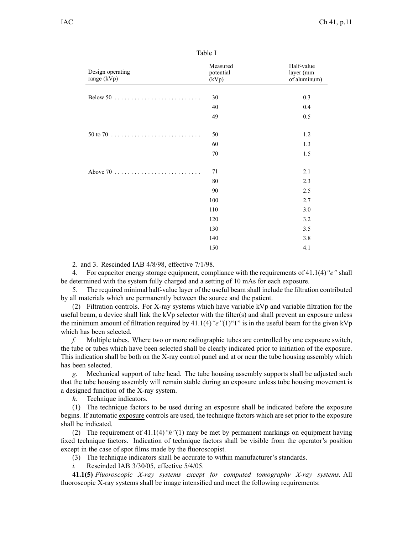Table I

| Design operating<br>range (kVp)                                    | Measured<br>potential<br>(kVp) | Half-value<br>layer (mm<br>of aluminum) |
|--------------------------------------------------------------------|--------------------------------|-----------------------------------------|
|                                                                    |                                |                                         |
| Below 50 $\ldots \ldots \ldots \ldots \ldots \ldots \ldots \ldots$ | 30                             | 0.3                                     |
|                                                                    | 40                             | 0.4                                     |
|                                                                    | 49                             | 0.5                                     |
|                                                                    | 50                             | 1.2                                     |
|                                                                    | 60                             | 1.3                                     |
|                                                                    | 70                             | 1.5                                     |
|                                                                    | 71                             | 2.1                                     |
|                                                                    | 80                             | 2.3                                     |
|                                                                    | 90                             | 2.5                                     |
|                                                                    | 100                            | 2.7                                     |
|                                                                    | 110                            | 3.0                                     |
|                                                                    | 120                            | 3.2                                     |
|                                                                    | 130                            | 3.5                                     |
|                                                                    | 140                            | 3.8                                     |
|                                                                    | 150                            | 4.1                                     |

2. and 3. Rescinded IAB 4/8/98, effective 7/1/98.

4. For capacitor energy storage equipment, compliance with the requirements of 41.1(4)*"e"* shall be determined with the system fully charged and <sup>a</sup> setting of 10 mAs for each exposure.

5. The required minimal half-value layer of the useful beam shall include the filtration contributed by all materials which are permanently between the source and the patient.

(2) Filtration controls. For X-ray systems which have variable kVp and variable filtration for the useful beam, <sup>a</sup> device shall link the kVp selector with the filter(s) and shall preven<sup>t</sup> an exposure unless the minimum amount of filtration required by 41.1(4)*"e"*(1)"1" is in the useful beam for the given kVp which has been selected.

*f.* Multiple tubes. Where two or more radiographic tubes are controlled by one exposure switch, the tube or tubes which have been selected shall be clearly indicated prior to initiation of the exposure. This indication shall be both on the X-ray control panel and at or near the tube housing assembly which has been selected.

*g.* Mechanical suppor<sup>t</sup> of tube head. The tube housing assembly supports shall be adjusted such that the tube housing assembly will remain stable during an exposure unless tube housing movement is <sup>a</sup> designed function of the X-ray system.

*h.* Technique indicators.

(1) The technique factors to be used during an exposure shall be indicated before the exposure begins. If automatic exposure controls are used, the technique factors which are set prior to the exposure shall be indicated.

(2) The requirement of 41.1(4)*"h"*(1) may be met by permanen<sup>t</sup> markings on equipment having fixed technique factors. Indication of technique factors shall be visible from the operator's position excep<sup>t</sup> in the case of spo<sup>t</sup> films made by the fluoroscopist.

(3) The technique indicators shall be accurate to within manufacturer's standards.

*i.* Rescinded IAB 3/30/05, effective 5/4/05.

**41.1(5)** *Fluoroscopic X-ray systems excep<sup>t</sup> for computed tomography X-ray systems.* All fluoroscopic X-ray systems shall be image intensified and meet the following requirements: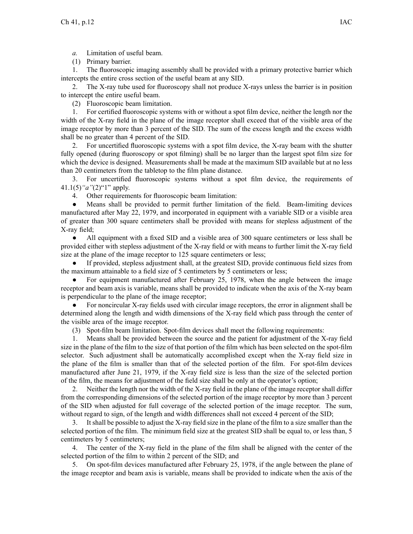*a.* Limitation of useful beam.

(1) Primary barrier.

1. The fluoroscopic imaging assembly shall be provided with <sup>a</sup> primary protective barrier which intercepts the entire cross section of the useful beam at any SID.

2. The X-ray tube used for fluoroscopy shall not produce X-rays unless the barrier is in position to intercept the entire useful beam.

(2) Fluoroscopic beam limitation.

1. For certified fluoroscopic systems with or without <sup>a</sup> spo<sup>t</sup> film device, neither the length nor the width of the X-ray field in the plane of the image receptor shall exceed that of the visible area of the image receptor by more than 3 percen<sup>t</sup> of the SID. The sum of the excess length and the excess width shall be no greater than 4 percen<sup>t</sup> of the SID.

2. For uncertified fluoroscopic systems with <sup>a</sup> spo<sup>t</sup> film device, the X-ray beam with the shutter fully opened (during fluoroscopy or spo<sup>t</sup> filming) shall be no larger than the largest spo<sup>t</sup> film size for which the device is designed. Measurements shall be made at the maximum SID available but at no less than 20 centimeters from the tabletop to the film plane distance.

3. For uncertified fluoroscopic systems without <sup>a</sup> spo<sup>t</sup> film device, the requirements of 41.1(5)*"a"*(2)"1" apply.

4. Other requirements for fluoroscopic beam limitation:

● Means shall be provided to permit further limitation of the field. Beam-limiting devices manufactured after May 22, 1979, and incorporated in equipment with <sup>a</sup> variable SID or <sup>a</sup> visible area of greater than 300 square centimeters shall be provided with means for stepless adjustment of the X-ray field;

● All equipment with <sup>a</sup> fixed SID and <sup>a</sup> visible area of 300 square centimeters or less shall be provided either with stepless adjustment of the X-ray field or with means to further limit the X-ray field size at the plane of the image receptor to 125 square centimeters or less;

● If provided, stepless adjustment shall, at the greatest SID, provide continuous field sizes from the maximum attainable to <sup>a</sup> field size of 5 centimeters by 5 centimeters or less;

 $\bullet$  For equipment manufactured after February 25, 1978, when the angle between the image receptor and beam axis is variable, means shall be provided to indicate when the axis of the X-ray beam is perpendicular to the plane of the image receptor;

● For noncircular X-ray fields used with circular image receptors, the error in alignment shall be determined along the length and width dimensions of the X-ray field which pass through the center of the visible area of the image receptor.

(3) Spot-film beam limitation. Spot-film devices shall meet the following requirements:

1. Means shall be provided between the source and the patient for adjustment of the X-ray field size in the plane of the film to the size of that portion of the film which has been selected on the spot-film selector. Such adjustment shall be automatically accomplished excep<sup>t</sup> when the X-ray field size in the plane of the film is smaller than that of the selected portion of the film. For spot-film devices manufactured after June 21, 1979, if the X-ray field size is less than the size of the selected portion of the film, the means for adjustment of the field size shall be only at the operator's option;

2. Neither the length nor the width of the X-ray field in the plane of the image receptor shall differ from the corresponding dimensions of the selected portion of the image receptor by more than 3 percen<sup>t</sup> of the SID when adjusted for full coverage of the selected portion of the image receptor. The sum, without regard to sign, of the length and width differences shall not exceed 4 percen<sup>t</sup> of the SID;

3. It shall be possible to adjust the X-ray field size in the plane of the film to <sup>a</sup> size smaller than the selected portion of the film. The minimum field size at the greatest SID shall be equal to, or less than, 5 centimeters by 5 centimeters;

4. The center of the X-ray field in the plane of the film shall be aligned with the center of the selected portion of the film to within 2 percen<sup>t</sup> of the SID; and

5. On spot-film devices manufactured after February 25, 1978, if the angle between the plane of the image receptor and beam axis is variable, means shall be provided to indicate when the axis of the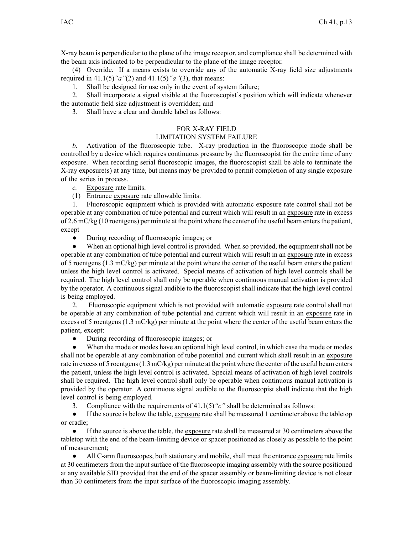X-ray beam is perpendicular to the plane of the image receptor, and compliance shall be determined with the beam axis indicated to be perpendicular to the plane of the image receptor.

(4) Override. If <sup>a</sup> means exists to override any of the automatic X-ray field size adjustments required in 41.1(5)*"a"*(2) and 41.1(5)*"a"*(3), that means:

1. Shall be designed for use only in the event of system failure;

2. Shall incorporate <sup>a</sup> signal visible at the fluoroscopist's position which will indicate whenever the automatic field size adjustment is overridden; and

3. Shall have <sup>a</sup> clear and durable label as follows:

## FOR X-RAY FIELD

## LIMITATION SYSTEM FAILURE

*b.* Activation of the fluoroscopic tube. X-ray production in the fluoroscopic mode shall be controlled by <sup>a</sup> device which requires continuous pressure by the fluoroscopist for the entire time of any exposure. When recording serial fluoroscopic images, the fluoroscopist shall be able to terminate the X-ray exposure(s) at any time, but means may be provided to permit completion of any single exposure of the series in process.

*c.* Exposure rate limits.

(1) Entrance exposure rate allowable limits.

1. Fluoroscopic equipment which is provided with automatic exposure rate control shall not be operable at any combination of tube potential and current which will result in an exposure rate in excess of 2.6 mC/kg (10 roentgens) per minute at the point where the center of the useful beam enters the patient, except

 $\bullet$ During recording of fluoroscopic images; or

● When an optional high level control is provided. When so provided, the equipment shall not be operable at any combination of tube potential and current which will result in an exposure rate in excess of 5 roentgens  $(1.3 \text{ mC/kg})$  per minute at the point where the center of the useful beam enters the patient unless the high level control is activated. Special means of activation of high level controls shall be required. The high level control shall only be operable when continuous manual activation is provided by the operator. A continuous signal audible to the fluoroscopist shall indicate that the high level control is being employed.

2. Fluoroscopic equipment which is not provided with automatic exposure rate control shall not be operable at any combination of tube potential and current which will result in an exposure rate in excess of 5 roentgens (1.3 mC/kg) per minute at the point where the center of the useful beam enters the patient, except:

 $\bullet$ During recording of fluoroscopic images; or

● When the mode or modes have an optional high level control, in which case the mode or modes shall not be operable at any combination of tube potential and current which shall result in an exposure rate in excess of 5 roentgens(1.3 mC/kg) per minute at the point where the center of the useful beam enters the patient, unless the high level control is activated. Special means of activation of high level controls shall be required. The high level control shall only be operable when continuous manual activation is provided by the operator. A continuous signal audible to the fluoroscopist shall indicate that the high level control is being employed.

3. Compliance with the requirements of 41.1(5)*"c"* shall be determined as follows:

 $\bullet$  If the source is below the table, exposure rate shall be measured 1 centimeter above the tabletop or cradle;

● If the source is above the table, the exposure rate shall be measured at 30 centimeters above the tabletop with the end of the beam-limiting device or spacer positioned as closely as possible to the point of measurement;

● All C-arm fluoroscopes, both stationary and mobile, shall meet the entrance exposure rate limits at 30 centimeters from the input surface of the fluoroscopic imaging assembly with the source positioned at any available SID provided that the end of the spacer assembly or beam-limiting device is not closer than 30 centimeters from the input surface of the fluoroscopic imaging assembly.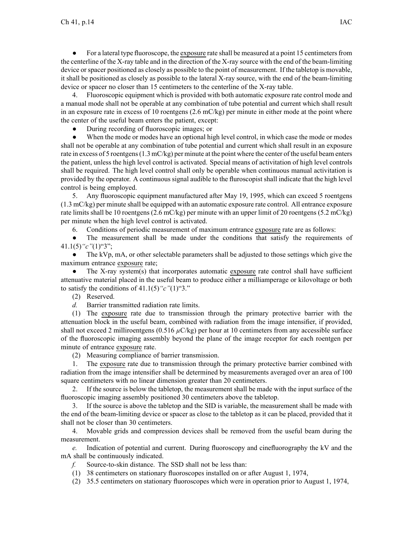● For <sup>a</sup> lateral type fluoroscope, the exposure rate shall be measured at <sup>a</sup> point 15 centimetersfrom the centerline of the X-ray table and in the direction of the X-ray source with the end of the beam-limiting device or spacer positioned as closely as possible to the point of measurement. If the tabletop is movable, it shall be positioned as closely as possible to the lateral X-ray source, with the end of the beam-limiting device or spacer no closer than 15 centimeters to the centerline of the X-ray table.

4. Fluoroscopic equipment which is provided with both automatic exposure rate control mode and <sup>a</sup> manual mode shall not be operable at any combination of tube potential and current which shall result in an exposure rate in excess of 10 roentgens  $(2.6 \text{ mC/kg})$  per minute in either mode at the point where the center of the useful beam enters the patient, except:

 $\bullet$ During recording of fluoroscopic images; or

● When the mode or modes have an optional high level control, in which case the mode or modes shall not be operable at any combination of tube potential and current which shall result in an exposure rate in excess of 5 roentgens(1.3 mC/kg) per minute at the point where the center of the useful beam enters the patient, unless the high level control is activated. Special means of activitation of high level controls shall be required. The high level control shall only be operable when continuous manual activitation is provided by the operator. A continuous signal audible to the fluroscopist shall indicate that the high level control is being employed.

5. Any fluoroscopic equipment manufactured after May 19, 1995, which can exceed 5 roentgens (1.3 mC/kg) per minute shall be equipped with an automatic exposure rate control. All entrance exposure rate limits shall be 10 roentgens (2.6 mC/kg) per minute with an upper limit of 20 roentgens (5.2 mC/kg) per minute when the high level control is activated.

6. Conditions of periodic measurement of maximum entrance exposure rate are as follows:

● The measurement shall be made under the conditions that satisfy the requirements of 41.1(5)*"c"*(1)"3";

● The kVp, mA, or other selectable parameters shall be adjusted to those settings which give the maximum entrance exposure rate;

 $\bullet$  The X-ray system(s) that incorporates automatic exposure rate control shall have sufficient attenuative material placed in the useful beam to produce either <sup>a</sup> milliamperage or kilovoltage or both to satisfy the conditions of  $41.1(5)$  " $c$ " $(1)$ "3."

(2) Reserved.

*d.* Barrier transmitted radiation rate limits.

(1) The exposure rate due to transmission through the primary protective barrier with the attenuation block in the useful beam, combined with radiation from the image intensifier, if provided, shall not exceed 2 milliroentgens ( $0.516 \mu$ C/kg) per hour at 10 centimeters from any accessible surface of the fluoroscopic imaging assembly beyond the plane of the image receptor for each roentgen per minute of entrance exposure rate.

(2) Measuring compliance of barrier transmission.

1. The exposure rate due to transmission through the primary protective barrier combined with radiation from the image intensifier shall be determined by measurements averaged over an area of 100 square centimeters with no linear dimension greater than 20 centimeters.

2. If the source is below the tabletop, the measurement shall be made with the input surface of the fluoroscopic imaging assembly positioned 30 centimeters above the tabletop.

3. If the source is above the tabletop and the SID is variable, the measurement shall be made with the end of the beam-limiting device or spacer as close to the tabletop as it can be placed, provided that it shall not be closer than 30 centimeters.

4. Movable grids and compression devices shall be removed from the useful beam during the measurement.

*e.* Indication of potential and current. During fluoroscopy and cinefluorography the kV and the mA shall be continuously indicated.

*f.* Source-to-skin distance. The SSD shall not be less than:

(1) 38 centimeters on stationary fluoroscopes installed on or after August 1, 1974,

(2) 35.5 centimeters on stationary fluoroscopes which were in operation prior to August 1, 1974,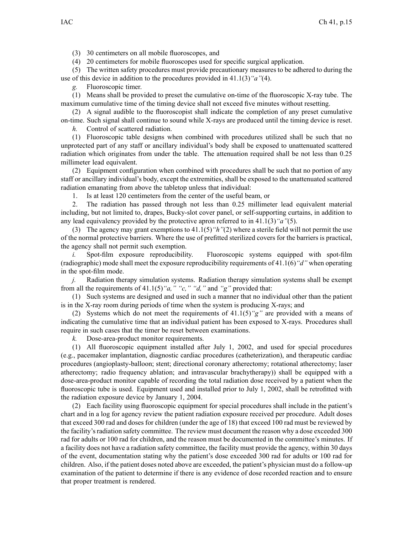(3) 30 centimeters on all mobile fluoroscopes, and

(4) 20 centimeters for mobile fluoroscopes used for specific surgical application.

(5) The written safety procedures must provide precautionary measures to be adhered to during the use of this device in addition to the procedures provided in 41.1(3)*"a"*(4).

*g.* Fluoroscopic timer.

(1) Means shall be provided to prese<sup>t</sup> the cumulative on-time of the fluoroscopic X-ray tube. The maximum cumulative time of the timing device shall not exceed five minutes without resetting.

(2) A signal audible to the fluoroscopist shall indicate the completion of any prese<sup>t</sup> cumulative on-time. Such signal shall continue to sound while X-rays are produced until the timing device is reset.

*h.* Control of scattered radiation.

(1) Fluoroscopic table designs when combined with procedures utilized shall be such that no unprotected par<sup>t</sup> of any staff or ancillary individual's body shall be exposed to unattenuated scattered radiation which originates from under the table. The attenuation required shall be not less than 0.25 millimeter lead equivalent.

(2) Equipment configuration when combined with procedures shall be such that no portion of any staff or ancillary individual's body, excep<sup>t</sup> the extremities, shall be exposed to the unattenuated scattered radiation emanating from above the tabletop unless that individual:

1. Is at least 120 centimeters from the center of the useful beam, or

2. The radiation has passed through not less than 0.25 millimeter lead equivalent material including, but not limited to, drapes, Bucky-slot cover panel, or self-supporting curtains, in addition to any lead equivalency provided by the protective apron referred to in 41.1(3)*"a"*(5).

(3) The agency may gran<sup>t</sup> exemptions to 41.1(5)*"h"*(2) where <sup>a</sup> sterile field will not permit the use of the normal protective barriers. Where the use of prefitted sterilized covers for the barriers is practical, the agency shall not permit such exemption.

*i.* Spot-film exposure reproducibility. Fluoroscopic systems equipped with spot-film (radiographic) mode shall meet the exposure reproducibility requirements of 41.1(6)*"d"* when operating in the spot-film mode.

*j.* Radiation therapy simulation systems. Radiation therapy simulation systems shall be exemp<sup>t</sup> from all the requirements of 41.1(5)*"a," "c," "d,"* and *"g"* provided that:

(1) Such systems are designed and used in such <sup>a</sup> manner that no individual other than the patient is in the X-ray room during periods of time when the system is producing X-rays; and

(2) Systems which do not meet the requirements of  $41.1(5)$  "g" are provided with a means of indicating the cumulative time that an individual patient has been exposed to X-rays. Procedures shall require in such cases that the timer be reset between examinations.

*k.* Dose-area-product monitor requirements.

(1) All fluoroscopic equipment installed after July 1, 2002, and used for special procedures (e.g., pacemaker implantation, diagnostic cardiac procedures (catheterization), and therapeutic cardiac procedures (angioplasty-balloon; stent; directional coronary atherectomy; rotational atherectomy; laser atherectomy; radio frequency ablation; and intravascular brachytherapy)) shall be equipped with <sup>a</sup> dose-area-product monitor capable of recording the total radiation dose received by <sup>a</sup> patient when the fluoroscopic tube is used. Equipment used and installed prior to July 1, 2002, shall be retrofitted with the radiation exposure device by January 1, 2004.

(2) Each facility using fluoroscopic equipment for special procedures shall include in the patient's chart and in <sup>a</sup> log for agency review the patient radiation exposure received per procedure. Adult doses that exceed 300 rad and doses for children (under the age of 18) that exceed 100 rad must be reviewed by the facility's radiation safety committee. The review must document the reason why a dose exceeded 300 rad for adults or 100 rad for children, and the reason must be documented in the committee's minutes. If <sup>a</sup> facility does not have <sup>a</sup> radiation safety committee, the facility must provide the agency, within 30 days of the event, documentation stating why the patient's dose exceeded 300 rad for adults or 100 rad for children. Also, if the patient doses noted above are exceeded, the patient's physician must do <sup>a</sup> follow-up examination of the patient to determine if there is any evidence of dose recorded reaction and to ensure that proper treatment is rendered.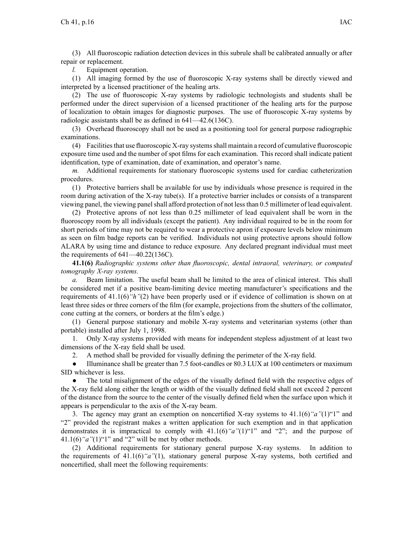(3) All fluoroscopic radiation detection devices in this subrule shall be calibrated annually or after repair or replacement.

*l.* Equipment operation.

(1) All imaging formed by the use of fluoroscopic X-ray systems shall be directly viewed and interpreted by <sup>a</sup> licensed practitioner of the healing arts.

(2) The use of fluoroscopic X-ray systems by radiologic technologists and students shall be performed under the direct supervision of <sup>a</sup> licensed practitioner of the healing arts for the purpose of localization to obtain images for diagnostic purposes. The use of fluoroscopic X-ray systems by radiologic assistants shall be as defined in 641—42.6(136C).

(3) Overhead fluoroscopy shall not be used as <sup>a</sup> positioning tool for general purpose radiographic examinations.

(4) Facilitiesthat use fluoroscopic X-ray systemsshall maintain <sup>a</sup> record of cumulative fluoroscopic exposure time used and the number of spo<sup>t</sup> films for each examination. This record shall indicate patient identification, type of examination, date of examination, and operator's name.

*m.* Additional requirements for stationary fluoroscopic systems used for cardiac catheterization procedures.

(1) Protective barriers shall be available for use by individuals whose presence is required in the room during activation of the X-ray tube(s). If <sup>a</sup> protective barrier includes or consists of <sup>a</sup> transparent viewing panel, the viewing panel shall afford protection of not less than 0.5 millimeter of lead equivalent.

(2) Protective aprons of not less than 0.25 millimeter of lead equivalent shall be worn in the fluoroscopy room by all individuals (except the patient). Any individual required to be in the room for short periods of time may not be required to wear <sup>a</sup> protective apron if exposure levels below minimum as seen on film badge reports can be verified. Individuals not using protective aprons should follow ALARA by using time and distance to reduce exposure. Any declared pregnan<sup>t</sup> individual must meet the requirements of  $641-40.22(136C)$ .

**41.1(6)** *Radiographic systems other than fluoroscopic, dental intraoral, veterinary, or computed tomography X-ray systems.*

*a.* Beam limitation. The useful beam shall be limited to the area of clinical interest. This shall be considered met if <sup>a</sup> positive beam-limiting device meeting manufacturer's specifications and the requirements of 41.1(6)*"h"*(2) have been properly used or if evidence of collimation is shown on at least three sides or three corners of the film (for example, projections from the shutters of the collimator, cone cutting at the corners, or borders at the film's edge.)

(1) General purpose stationary and mobile X-ray systems and veterinarian systems (other than portable) installed after July 1, 1998.

1. Only X-ray systems provided with means for independent stepless adjustment of at least two dimensions of the X-ray field shall be used.

2. A method shall be provided for visually defining the perimeter of the X-ray field.

● Illuminance shall be greater than 7.5 foot-candles or 80.3 LUX at 100 centimeters or maximum SID whichever is less.

● The total misalignment of the edges of the visually defined field with the respective edges of the X-ray field along either the length or width of the visually defined field shall not exceed 2 percen<sup>t</sup> of the distance from the source to the center of the visually defined field when the surface upon which it appears is perpendicular to the axis of the X-ray beam.

3. The agency may gran<sup>t</sup> an exemption on noncertified X-ray systems to 41.1(6)*"a"*(1)"1" and "2" provided the registrant makes <sup>a</sup> written application for such exemption and in that application demonstrates it is impractical to comply with  $41.1(6)$  "a"(1)"1" and "2"; and the purpose of  $41.1(6)$  "a" $(1)$ "1" and "2" will be met by other methods.

(2) Additional requirements for stationary general purpose X-ray systems. In addition to the requirements of 41.1(6)*"a"*(1), stationary general purpose X-ray systems, both certified and noncertified, shall meet the following requirements: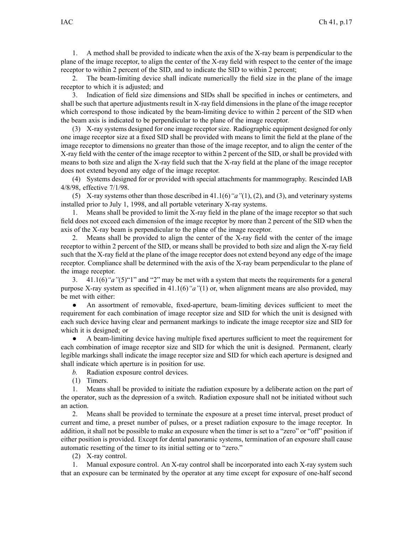1. A method shall be provided to indicate when the axis of the X-ray beam is perpendicular to the plane of the image receptor, to align the center of the X-ray field with respec<sup>t</sup> to the center of the image receptor to within 2 percen<sup>t</sup> of the SID, and to indicate the SID to within 2 percent;

2. The beam-limiting device shall indicate numerically the field size in the plane of the image receptor to which it is adjusted; and

3. Indication of field size dimensions and SIDs shall be specified in inches or centimeters, and shall be such that aperture adjustments result in X-ray field dimensions in the plane of the image receptor which correspond to those indicated by the beam-limiting device to within 2 percent of the SID when the beam axis is indicated to be perpendicular to the plane of the image receptor.

(3) X-ray systems designed for one image receptorsize. Radiographic equipment designed for only one image receptor size at <sup>a</sup> fixed SID shall be provided with means to limit the field at the plane of the image receptor to dimensions no greater than those of the image receptor, and to align the center of the X-ray field with the center of the image receptor to within 2 percen<sup>t</sup> of the SID, or shall be provided with means to both size and align the X-ray field such that the X-ray field at the plane of the image receptor does not extend beyond any edge of the image receptor.

(4) Systems designed for or provided with special attachments for mammography. Rescinded IAB 4/8/98, effective 7/1/98.

(5) X-ray systems other than those described in 41.1(6)*"a"*(1), (2), and (3), and veterinary systems installed prior to July 1, 1998, and all portable veterinary X-ray systems.

1. Means shall be provided to limit the X-ray field in the plane of the image receptor so that such field does not exceed each dimension of the image receptor by more than 2 percen<sup>t</sup> of the SID when the axis of the X-ray beam is perpendicular to the plane of the image receptor.

2. Means shall be provided to align the center of the X-ray field with the center of the image receptor to within 2 percen<sup>t</sup> of the SID, or means shall be provided to both size and align the X-ray field such that the X-ray field at the plane of the image receptor does not extend beyond any edge of the image receptor. Compliance shall be determined with the axis of the X-ray beam perpendicular to the plane of the image receptor.

3. 41.1(6)*"a"*(5)"1" and "2" may be met with <sup>a</sup> system that meets the requirements for <sup>a</sup> general purpose X-ray system as specified in 41.1(6)*"a"*(1) or, when alignment means are also provided, may be met with either:

● An assortment of removable, fixed-aperture, beam-limiting devices sufficient to meet the requirement for each combination of image receptor size and SID for which the unit is designed with each such device having clear and permanen<sup>t</sup> markings to indicate the image receptor size and SID for which it is designed; or

● A beam-limiting device having multiple fixed apertures sufficient to meet the requirement for each combination of image receptor size and SID for which the unit is designed. Permanent, clearly legible markings shall indicate the image receptor size and SID for which each aperture is designed and shall indicate which aperture is in position for use.

*b.* Radiation exposure control devices.

(1) Timers.

1. Means shall be provided to initiate the radiation exposure by <sup>a</sup> deliberate action on the par<sup>t</sup> of the operator, such as the depression of <sup>a</sup> switch. Radiation exposure shall not be initiated without such an action.

2. Means shall be provided to terminate the exposure at <sup>a</sup> prese<sup>t</sup> time interval, prese<sup>t</sup> product of current and time, <sup>a</sup> prese<sup>t</sup> number of pulses, or <sup>a</sup> prese<sup>t</sup> radiation exposure to the image receptor. In addition, it shall not be possible to make an exposure when the timer is set to <sup>a</sup> "zero" or "off" position if either position is provided. Except for dental panoramic systems, termination of an exposure shall cause automatic resetting of the timer to its initial setting or to "zero."

(2) X-ray control.

1. Manual exposure control. An X-ray control shall be incorporated into each X-ray system such that an exposure can be terminated by the operator at any time excep<sup>t</sup> for exposure of one-half second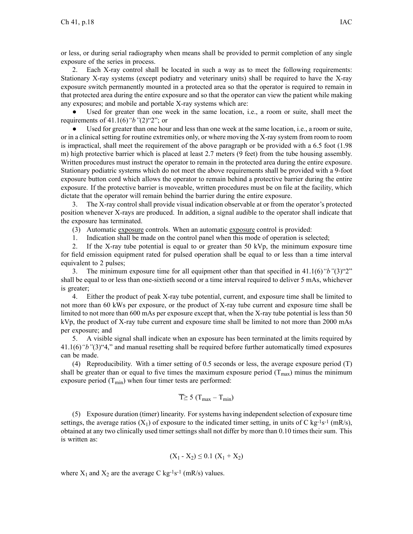or less, or during serial radiography when means shall be provided to permit completion of any single exposure of the series in process.

2. Each X-ray control shall be located in such <sup>a</sup> way as to meet the following requirements: Stationary X-ray systems (except podiatry and veterinary units) shall be required to have the X-ray exposure switch permanently mounted in <sup>a</sup> protected area so that the operator is required to remain in that protected area during the entire exposure and so that the operator can view the patient while making any exposures; and mobile and portable X-ray systems which are:

● Used for greater than one week in the same location, i.e., <sup>a</sup> room or suite, shall meet the requirements of 41.1(6)*"b"*(2)"2"; or

● Used for greater than one hour and less than one week at the same location, i.e., <sup>a</sup> room or suite, or in <sup>a</sup> clinical setting for routine extremities only, or where moving the X-ray system from room to room is impractical, shall meet the requirement of the above paragraph or be provided with <sup>a</sup> 6.5 foot (1.98 m) high protective barrier which is placed at least 2.7 meters (9 feet) from the tube housing assembly. Written procedures must instruct the operator to remain in the protected area during the entire exposure. Stationary podiatric systems which do not meet the above requirements shall be provided with <sup>a</sup> 9-foot exposure button cord which allows the operator to remain behind <sup>a</sup> protective barrier during the entire exposure. If the protective barrier is moveable, written procedures must be on file at the facility, which dictate that the operator will remain behind the barrier during the entire exposure.

3. The X-ray control shall provide visual indication observable at or from the operator's protected position whenever X-rays are produced. In addition, <sup>a</sup> signal audible to the operator shall indicate that the exposure has terminated.

(3) Automatic exposure controls. When an automatic exposure control is provided:

1. Indication shall be made on the control panel when this mode of operation is selected;

2. If the X-ray tube potential is equal to or greater than 50 kVp, the minimum exposure time for field emission equipment rated for pulsed operation shall be equal to or less than <sup>a</sup> time interval equivalent to 2 pulses;

3. The minimum exposure time for all equipment other than that specified in 41.1(6)*"b"*(3)"2" shall be equal to or less than one-sixtieth second or <sup>a</sup> time interval required to deliver 5 mAs, whichever is greater;

4. Either the product of peak X-ray tube potential, current, and exposure time shall be limited to not more than 60 kWs per exposure, or the product of X-ray tube current and exposure time shall be limited to not more than 600 mAs per exposure excep<sup>t</sup> that, when the X-ray tube potential is less than 50 kVp, the product of X-ray tube current and exposure time shall be limited to not more than 2000 mAs per exposure; and

5. A visible signal shall indicate when an exposure has been terminated at the limits required by 41.1(6)*"b"*(3)"4," and manual resetting shall be required before further automatically timed exposures can be made.

(4) Reproducibility. With <sup>a</sup> timer setting of 0.5 seconds or less, the average exposure period (T) shall be greater than or equal to five times the maximum exposure period  $(T_{\text{max}})$  minus the minimum exposure period  $(T_{min})$  when four timer tests are performed:

$$
\overline{T} \geq 5 (T_{\text{max}} - T_{\text{min}})
$$

(5) Exposure duration (timer) linearity. For systems having independent selection of exposure time settings, the average ratios  $(X_1)$  of exposure to the indicated timer setting, in units of C kg-<sup>1</sup>s<sup>-1</sup> (mR/s), obtained at any two clinically used timer settings shall not differ by more than 0.10 times their sum. This is written as:

$$
(X_1 - X_2) \le 0.1 (X_1 + X_2)
$$

where  $X_1$  and  $X_2$  are the average C kg<sup>-1</sup>s<sup>-1</sup> (mR/s) values.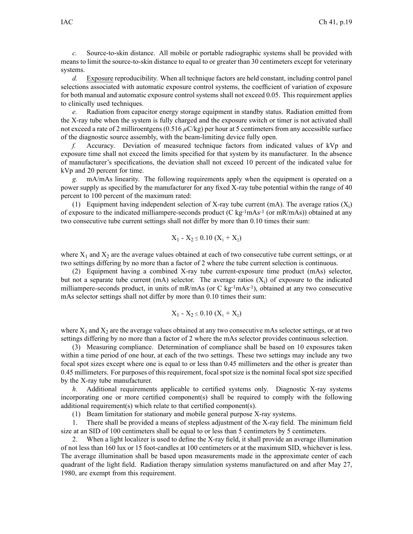*c.* Source-to-skin distance. All mobile or portable radiographic systems shall be provided with means to limit the source-to-skin distance to equal to or greater than 30 centimeters excep<sup>t</sup> for veterinary systems.

*d.* Exposure reproducibility. When all technique factors are held constant, including control panel selections associated with automatic exposure control systems, the coefficient of variation of exposure for both manual and automatic exposure control systems shall not exceed 0.05. This requirement applies to clinically used techniques.

*e.* Radiation from capacitor energy storage equipment in standby status. Radiation emitted from the X-ray tube when the system is fully charged and the exposure switch or timer is not activated shall not exceed <sup>a</sup> rate of 2 milliroentgens (0.516 *µ*C/kg) per hour at 5 centimeters from any accessible surface of the diagnostic source assembly, with the beam-limiting device fully open.

*f.* Accuracy. Deviation of measured technique factors from indicated values of kVp and exposure time shall not exceed the limits specified for that system by its manufacturer. In the absence of manufacturer's specifications, the deviation shall not exceed 10 percen<sup>t</sup> of the indicated value for kVp and 20 percen<sup>t</sup> for time.

*g.* mA/mAs linearity. The following requirements apply when the equipment is operated on <sup>a</sup> power supply as specified by the manufacturer for any fixed X-ray tube potential within the range of 40 percen<sup>t</sup> to 100 percen<sup>t</sup> of the maximum rated:

(1) Equipment having independent selection of X-ray tube current (mA). The average ratios  $(X_i)$ of exposure to the indicated milliampere-seconds product (C kg<sup>-1</sup>mAs<sup>-1</sup> (or mR/mAs)) obtained at any two consecutive tube current settings shall not differ by more than 0.10 times their sum:

$$
X_1 - X_2 \le 0.10 (X_1 + X_2)
$$

where  $X_1$  and  $X_2$  are the average values obtained at each of two consecutive tube current settings, or at two settings differing by no more than <sup>a</sup> factor of 2 where the tube current selection is continuous.

(2) Equipment having <sup>a</sup> combined X-ray tube current-exposure time product (mAs) selector, but not a separate tube current (mA) selector. The average ratios  $(X_i)$  of exposure to the indicated milliampere-seconds product, in units of mR/mAs (or C kg<sup>-1</sup>mAs<sup>-1</sup>), obtained at any two consecutive mAs selector settings shall not differ by more than 0.10 times their sum:

$$
X_1 - X_2 \le 0.10 (X_1 + X_2)
$$

where  $X_1$  and  $X_2$  are the average values obtained at any two consecutive mAs selector settings, or at two settings differing by no more than <sup>a</sup> factor of 2 where the mAs selector provides continuous selection.

(3) Measuring compliance. Determination of compliance shall be based on 10 exposures taken within <sup>a</sup> time period of one hour, at each of the two settings. These two settings may include any two focal spo<sup>t</sup> sizes excep<sup>t</sup> where one is equal to or less than 0.45 millimeters and the other is greater than 0.45 millimeters. For purposes of this requirement, focal spo<sup>t</sup> size is the nominal focal spo<sup>t</sup> size specified by the X-ray tube manufacturer.

*h.* Additional requirements applicable to certified systems only. Diagnostic X-ray systems incorporating one or more certified component(s) shall be required to comply with the following additional requirement(s) which relate to that certified component(s).

(1) Beam limitation for stationary and mobile general purpose X-ray systems.

1. There shall be provided <sup>a</sup> means of stepless adjustment of the X-ray field. The minimum field size at an SID of 100 centimeters shall be equal to or less than 5 centimeters by 5 centimeters.

2. When <sup>a</sup> light localizer is used to define the X-ray field, it shall provide an average illumination of not less than 160 lux or 15 foot-candles at 100 centimeters or at the maximum SID, whichever is less. The average illumination shall be based upon measurements made in the approximate center of each quadrant of the light field. Radiation therapy simulation systems manufactured on and after May 27, 1980, are exemp<sup>t</sup> from this requirement.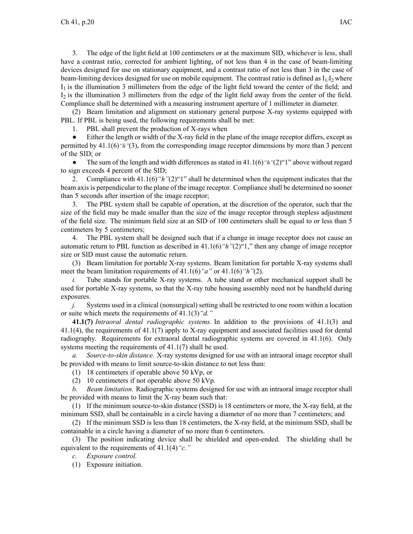3. The edge of the light field at 100 centimeters or at the maximum SID, whichever is less, shall have <sup>a</sup> contrast ratio, corrected for ambient lighting, of not less than 4 in the case of beam-limiting devices designed for use on stationary equipment, and <sup>a</sup> contrast ratio of not less than 3 in the case of beam-limiting devices designed for use on mobile equipment. The contrast ratio is defined as  $I_1/I_2$  where I <sup>1</sup> is the illumination 3 millimeters from the edge of the light field toward the center of the field; and I <sup>2</sup> is the illumination 3 millimeters from the edge of the light field away from the center of the field. Compliance shall be determined with <sup>a</sup> measuring instrument aperture of 1 millimeter in diameter.

(2) Beam limitation and alignment on stationary general purpose X-ray systems equipped with PBL. If PBL is being used, the following requirements shall be met:

1. PBL shall preven<sup>t</sup> the production of X-rays when

 $\bullet$  Either the length or width of the X-ray field in the plane of the image receptor differs, excep<sup>t</sup> as permitted by 41.1(6)*"h"*(3), from the corresponding image receptor dimensions by more than 3 percen<sup>t</sup> of the SID; or

 $\bullet$  The sum of the length and width differences as stated in 41.1(6)*"h"*(2)"1" above without regard to sign exceeds 4 percen<sup>t</sup> of the SID;

2. Compliance with 41.1(6)*"h"*(2)"1" shall be determined when the equipment indicates that the beam axis is perpendicular to the plane of the image receptor. Compliance shall be determined no sooner than 5 seconds after insertion of the image receptor;

3. The PBL system shall be capable of operation, at the discretion of the operator, such that the size of the field may be made smaller than the size of the image receptor through stepless adjustment of the field size. The minimum field size at an SID of 100 centimeters shall be equal to or less than 5 centimeters by 5 centimeters;

4. The PBL system shall be designed such that if <sup>a</sup> change in image receptor does not cause an automatic return to PBL function as described in 41.1(6)*"h"*(2)"1," then any change of image receptor size or SID must cause the automatic return.

(3) Beam limitation for portable X-ray systems. Beam limitation for portable X-ray systems shall meet the beam limitation requirements of 41.1(6)*"a"* or 41.1(6)*"h"*(2).

*i.* Tube stands for portable X-ray systems. A tube stand or other mechanical support shall be used for portable X-ray systems, so that the X-ray tube housing assembly need not be handheld during exposures.

*j.* Systems used in a clinical (nonsurgical) setting shall be restricted to one room within a location or suite which meets the requirements of 41.1(3)*"d."*

**41.1(7)** *Intraoral dental radiographic systems.* In addition to the provisions of 41.1(3) and 41.1(4), the requirements of 41.1(7) apply to X-ray equipment and associated facilities used for dental radiography. Requirements for extraoral dental radiographic systems are covered in 41.1(6). Only systems meeting the requirements of 41.1(7) shall be used.

*a. Source-to-skin distance.* X-ray systems designed for use with an intraoral image receptor shall be provided with means to limit source-to-skin distance to not less than:

(1) 18 centimeters if operable above 50 kVp, or

(2) 10 centimeters if not operable above 50 kVp.

*b. Beam limitation.* Radiographic systems designed for use with an intraoral image receptor shall be provided with means to limit the X-ray beam such that:

(1) If the minimum source-to-skin distance (SSD) is 18 centimeters or more, the X-ray field, at the minimum SSD, shall be containable in <sup>a</sup> circle having <sup>a</sup> diameter of no more than 7 centimeters; and

(2) If the minimum SSD is less than 18 centimeters, the X-ray field, at the minimum SSD, shall be containable in <sup>a</sup> circle having <sup>a</sup> diameter of no more than 6 centimeters.

(3) The position indicating device shall be shielded and open-ended. The shielding shall be equivalent to the requirements of 41.1(4)*"c."*

*c. Exposure control.*

(1) Exposure initiation.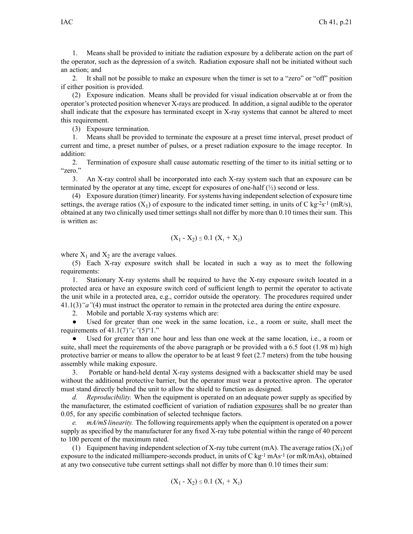1. Means shall be provided to initiate the radiation exposure by <sup>a</sup> deliberate action on the par<sup>t</sup> of the operator, such as the depression of <sup>a</sup> switch. Radiation exposure shall not be initiated without such an action; and

2. It shall not be possible to make an exposure when the timer is set to <sup>a</sup> "zero" or "off" position if either position is provided.

(2) Exposure indication. Means shall be provided for visual indication observable at or from the operator's protected position whenever X-rays are produced. In addition, <sup>a</sup> signal audible to the operator shall indicate that the exposure has terminated excep<sup>t</sup> in X-ray systems that cannot be altered to meet this requirement.

(3) Exposure termination.

1. Means shall be provided to terminate the exposure at <sup>a</sup> prese<sup>t</sup> time interval, prese<sup>t</sup> product of current and time, <sup>a</sup> prese<sup>t</sup> number of pulses, or <sup>a</sup> prese<sup>t</sup> radiation exposure to the image receptor. In addition:

2. Termination of exposure shall cause automatic resetting of the timer to its initial setting or to "zero."

3. An X-ray control shall be incorporated into each X-ray system such that an exposure can be terminated by the operator at any time, except for exposures of one-half  $\binom{1}{2}$  second or less.

(4) Exposure duration (timer) linearity. For systems having independent selection of exposure time settings, the average ratios  $(X_1)$  of exposure to the indicated timer setting, in units of C kg-2s-1 (mR/s), obtained at any two clinically used timer settings shall not differ by more than 0.10 times their sum. This is written as:

$$
(X_1 - X_2) \le 0.1 (X_1 + X_2)
$$

where  $X_1$  and  $X_2$  are the average values.

(5) Each X-ray exposure switch shall be located in such <sup>a</sup> way as to meet the following requirements:

1. Stationary X-ray systems shall be required to have the X-ray exposure switch located in <sup>a</sup> protected area or have an exposure switch cord of sufficient length to permit the operator to activate the unit while in <sup>a</sup> protected area, e.g., corridor outside the operatory. The procedures required under 41.1(3)*"a"*(4) must instruct the operator to remain in the protected area during the entire exposure.

2. Mobile and portable X-ray systems which are:

 $\bullet$  Used for greater than one week in the same location, i.e., <sup>a</sup> room or suite, shall meet the requirements of 41.1(7)*"c"*(5)"1."

● Used for greater than one hour and less than one week at the same location, i.e., <sup>a</sup> room or suite, shall meet the requirements of the above paragraph or be provided with a 6.5 foot (1.98 m) high protective barrier or means to allow the operator to be at least 9 feet (2.7 meters) from the tube housing assembly while making exposure.

3. Portable or hand-held dental X-ray systems designed with <sup>a</sup> backscatter shield may be used without the additional protective barrier, but the operator must wear <sup>a</sup> protective apron. The operator must stand directly behind the unit to allow the shield to function as designed.

*d. Reproducibility.* When the equipment is operated on an adequate power supply as specified by the manufacturer, the estimated coefficient of variation of radiation exposures shall be no greater than 0.05, for any specific combination of selected technique factors.

*e. mA/mS linearity.* The following requirements apply when the equipment is operated on <sup>a</sup> power supply as specified by the manufacturer for any fixed X-ray tube potential within the range of 40 percen<sup>t</sup> to 100 percen<sup>t</sup> of the maximum rated.

(1) Equipment having independent selection of X-ray tube current (mA). The average ratios  $(X_1)$  of exposure to the indicated milliampere-seconds product, in units of C kg<sup>-1</sup> mAs<sup>-1</sup> (or mR/mAs), obtained at any two consecutive tube current settings shall not differ by more than 0.10 times their sum:

$$
(X_1 - X_2) \le 0.1 (X_1 + X_2)
$$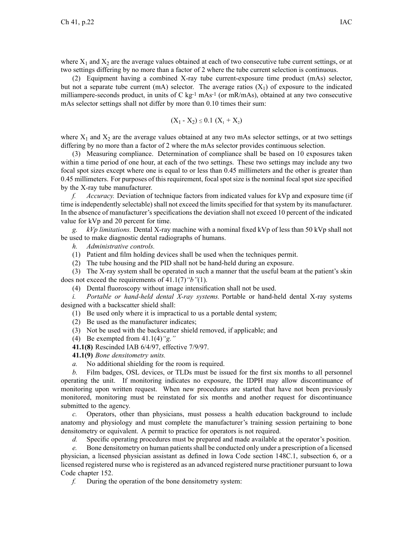where  $X_1$  and  $X_2$  are the average values obtained at each of two consecutive tube current settings, or at two settings differing by no more than <sup>a</sup> factor of 2 where the tube current selection is continuous.

(2) Equipment having <sup>a</sup> combined X-ray tube current-exposure time product (mAs) selector, but not a separate tube current (mA) selector. The average ratios  $(X_1)$  of exposure to the indicated milliampere-seconds product, in units of C  $\text{kg}$ <sup>1</sup> mAs<sup>-1</sup> (or mR/mAs), obtained at any two consecutive mAs selector settings shall not differ by more than 0.10 times their sum:

$$
(X_1 - X_2) \le 0.1 (X_1 + X_2)
$$

where  $X_1$  and  $X_2$  are the average values obtained at any two mAs selector settings, or at two settings differing by no more than <sup>a</sup> factor of 2 where the mAs selector provides continuous selection.

(3) Measuring compliance. Determination of compliance shall be based on 10 exposures taken within <sup>a</sup> time period of one hour, at each of the two settings. These two settings may include any two focal spo<sup>t</sup> sizes excep<sup>t</sup> where one is equal to or less than 0.45 millimeters and the other is greater than 0.45 millimeters. For purposes of this requirement, focal spo<sup>t</sup> size is the nominal focal spo<sup>t</sup> size specified by the X-ray tube manufacturer.

*f. Accuracy.* Deviation of technique factors from indicated values for kVp and exposure time (if time is independently selectable) shall not exceed the limits specified for that system by its manufacturer. In the absence of manufacturer's specifications the deviation shall not exceed 10 percen<sup>t</sup> of the indicated value for kVp and 20 percen<sup>t</sup> for time.

*g. kVp limitations.* Dental X-ray machine with <sup>a</sup> nominal fixed kVp of less than 50 kVp shall not be used to make diagnostic dental radiographs of humans.

*h. Administrative controls.*

(1) Patient and film holding devices shall be used when the techniques permit.

(2) The tube housing and the PID shall not be hand-held during an exposure.

(3) The X-ray system shall be operated in such <sup>a</sup> manner that the useful beam at the patient's skin does not exceed the requirements of 41.1(7)*"b"*(1).

(4) Dental fluoroscopy without image intensification shall not be used.

*i. Portable or hand-held dental X-ray systems.* Portable or hand-held dental X-ray systems designed with <sup>a</sup> backscatter shield shall:

(1) Be used only where it is impractical to us <sup>a</sup> portable dental system;

- (2) Be used as the manufacturer indicates;
- (3) Not be used with the backscatter shield removed, if applicable; and
- (4) Be exempted from 41.1(4)*"g."*
- **41.1(8)** Rescinded IAB 6/4/97, effective 7/9/97.

**41.1(9)** *Bone densitometry units.*

*a.* No additional shielding for the room is required.

*b.* Film badges, OSL devices, or TLDs must be issued for the first six months to all personnel operating the unit. If monitoring indicates no exposure, the IDPH may allow discontinuance of monitoring upon written request. When new procedures are started that have not been previously monitored, monitoring must be reinstated for six months and another reques<sup>t</sup> for discontinuance submitted to the agency.

*c.* Operators, other than physicians, must possess <sup>a</sup> health education background to include anatomy and physiology and must complete the manufacturer's training session pertaining to bone densitometry or equivalent. A permit to practice for operators is not required.

*d.* Specific operating procedures must be prepared and made available at the operator's position.

*e.* Bone densitometry on human patients shall be conducted only under a prescription of a licensed physician, <sup>a</sup> licensed physician assistant as defined in Iowa Code section 148C.1, subsection 6, or <sup>a</sup> licensed registered nurse who is registered as an advanced registered nurse practitioner pursuan<sup>t</sup> to Iowa Code chapter 152.

*f.* During the operation of the bone densitometry system: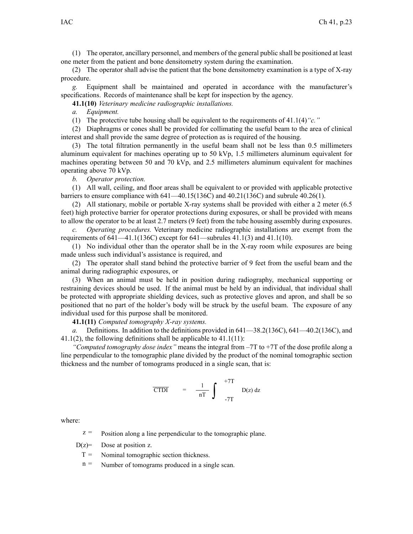(1) The operator, ancillary personnel, and members of the general public shall be positioned at least one meter from the patient and bone densitometry system during the examination.

(2) The operator shall advise the patient that the bone densitometry examination is <sup>a</sup> type of X-ray procedure.

*g.* Equipment shall be maintained and operated in accordance with the manufacturer's specifications. Records of maintenance shall be kept for inspection by the agency.

**41.1(10)** *Veterinary medicine radiographic installations.*

*a. Equipment.*

(1) The protective tube housing shall be equivalent to the requirements of 41.1(4)*"c."*

(2) Diaphragms or cones shall be provided for collimating the useful beam to the area of clinical interest and shall provide the same degree of protection as is required of the housing.

(3) The total filtration permanently in the useful beam shall not be less than 0.5 millimeters aluminum equivalent for machines operating up to 50 kVp, 1.5 millimeters aluminum equivalent for machines operating between 50 and 70 kVp, and 2.5 millimeters aluminum equivalent for machines operating above 70 kVp.

*b. Operator protection.*

(1) All wall, ceiling, and floor areas shall be equivalent to or provided with applicable protective barriers to ensure compliance with 641—40.15(136C) and 40.21(136C) and subrule 40.26(1).

(2) All stationary, mobile or portable X-ray systems shall be provided with either <sup>a</sup> 2 meter (6.5 feet) high protective barrier for operator protections during exposures, or shall be provided with means to allow the operator to be at least 2.7 meters (9 feet) from the tube housing assembly during exposures.

*c. Operating procedures.* Veterinary medicine radiographic installations are exemp<sup>t</sup> from the requirements of 641—41.1(136C) excep<sup>t</sup> for 641—subrules 41.1(3) and 41.1(10).

(1) No individual other than the operator shall be in the X-ray room while exposures are being made unless such individual's assistance is required, and

(2) The operator shall stand behind the protective barrier of 9 feet from the useful beam and the animal during radiographic exposures, or

(3) When an animal must be held in position during radiography, mechanical supporting or restraining devices should be used. If the animal must be held by an individual, that individual shall be protected with appropriate shielding devices, such as protective gloves and apron, and shall be so positioned that no par<sup>t</sup> of the holder's body will be struck by the useful beam. The exposure of any individual used for this purpose shall be monitored.

**41.1(11)** *Computed tomography X-ray systems.*

*a.* Definitions. In addition to the definitions provided in 641—38.2(136C), 641—40.2(136C), and 41.1(2), the following definitions shall be applicable to 41.1(11):

*"Computed tomography dose index"* means the integral from –7T to +7T of the dose profile along <sup>a</sup> line perpendicular to the tomographic plane divided by the product of the nominal tomographic section thickness and the number of tomograms produced in <sup>a</sup> single scan, that is:

$$
\overline{CTDI} = \frac{1}{nT} \int_{-7T}^{+7T} D(z) dz
$$

where:

 $z =$  Position along a line perpendicular to the tomographic plane.

 $D(z)$ = Dose at position z.

 $T =$  Nominal tomographic section thickness.

 $n =$  Number of tomograms produced in a single scan.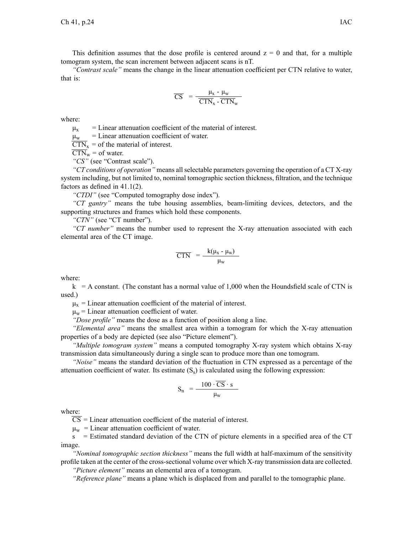This definition assumes that the dose profile is centered around  $z = 0$  and that, for a multiple tomogram system, the scan increment between adjacent scans is nT.

*"Contrast scale"* means the change in the linear attenuation coefficient per CTN relative to water, that is:

$$
\overline{CS} = \frac{\mu_x - \mu_w}{\overline{CTN}_x - \overline{CTN}_w}
$$

where:

 $\mu_{\rm v}$  = Linear attenuation coefficient of the material of interest.

 $\mu_{\rm w}$  = Linear attenuation coefficient of water.

 $\overline{CTN}_x$  = of the material of interest.

 $\overline{CTN_w}$  = of water.

*"CS"* (see "Contrast scale").

*"CT conditions of operation"* means allselectable parameters governing the operation of <sup>a</sup> CT X-ray system including, but not limited to, nominal tomographic section thickness, filtration, and the technique factors as defined in 41.1(2).

*"CTDI"* (see "Computed tomography dose index").

*"CT gantry"* means the tube housing assemblies, beam-limiting devices, detectors, and the supporting structures and frames which hold these components.

*"CTN"* (see "CT number").

*"CT number"* means the number used to represen<sup>t</sup> the X-ray attenuation associated with each elemental area of the CT image.

$$
\overline{\text{CTN}} = \frac{\mathbf{k}(\mu_{\text{x}} - \mu_{\text{w}})}{\mu_{\text{w}}}
$$

where:

 $k = A$  constant. (The constant has a normal value of 1,000 when the Houndsfield scale of CTN is used.)

 $\mu_{x}$  = Linear attenuation coefficient of the material of interest.

 $\mu_w$  = Linear attenuation coefficient of water.

*"Dose profile"* means the dose as <sup>a</sup> function of position along <sup>a</sup> line.

*"Elemental area"* means the smallest area within <sup>a</sup> tomogram for which the X-ray attenuation properties of <sup>a</sup> body are depicted (see also "Picture element").

*"Multiple tomogram system"* means <sup>a</sup> computed tomography X-ray system which obtains X-ray transmission data simultaneously during <sup>a</sup> single scan to produce more than one tomogram.

*"Noise"* means the standard deviation of the fluctuation in CTN expressed as <sup>a</sup> percentage of the attenuation coefficient of water. Its estimate  $(S<sub>s</sub>)$  is calculated using the following expression:

$$
S_n = \frac{100 \cdot \overline{CS} \cdot s}{\mu_w}
$$

where:

 $\overline{CS}$  = Linear attenuation coefficient of the material of interest.

 $\mu_{\rm w}$  = Linear attenuation coefficient of water.

<sup>s</sup> <sup>=</sup> Estimated standard deviation of the CTN of picture elements in <sup>a</sup> specified area of the CT image.

*"Nominal tomographic section thickness"* means the full width at half-maximum of the sensitivity profile taken at the center of the cross-sectional volume over which X-ray transmission data are collected.

*"Picture element"* means an elemental area of <sup>a</sup> tomogram.

*"Reference plane"* means <sup>a</sup> plane which is displaced from and parallel to the tomographic plane.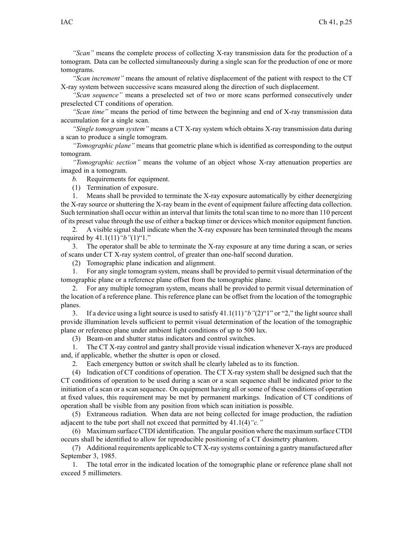*"Scan"* means the complete process of collecting X-ray transmission data for the production of <sup>a</sup> tomogram. Data can be collected simultaneously during <sup>a</sup> single scan for the production of one or more tomograms.

*"Scan increment"* means the amount of relative displacement of the patient with respec<sup>t</sup> to the CT X-ray system between successive scans measured along the direction of such displacement.

*"Scan sequence"* means <sup>a</sup> preselected set of two or more scans performed consecutively under preselected CT conditions of operation.

*"Scan time"* means the period of time between the beginning and end of X-ray transmission data accumulation for <sup>a</sup> single scan.

*"Single tomogram system"* means <sup>a</sup> CT X-ray system which obtains X-ray transmission data during <sup>a</sup> scan to produce <sup>a</sup> single tomogram.

*"Tomographic plane"* means that geometric plane which is identified as corresponding to the output tomogram.

*"Tomographic section"* means the volume of an object whose X-ray attenuation properties are imaged in <sup>a</sup> tomogram.

*b.* Requirements for equipment.

(1) Termination of exposure.

1. Means shall be provided to terminate the X-ray exposure automatically by either deenergizing the X-ray source or shuttering the X-ray beam in the event of equipment failure affecting data collection. Such termination shall occur within an interval that limits the total scan time to no more than 110 percen<sup>t</sup> of its prese<sup>t</sup> value through the use of either <sup>a</sup> backup timer or devices which monitor equipment function.

2. A visible signal shall indicate when the X-ray exposure has been terminated through the means required by 41.1(11)*"b"*(1)"1."

3. The operator shall be able to terminate the X-ray exposure at any time during <sup>a</sup> scan, or series of scans under CT X-ray system control, of greater than one-half second duration.

(2) Tomographic plane indication and alignment.

1. For any single tomogram system, means shall be provided to permit visual determination of the tomographic plane or <sup>a</sup> reference plane offset from the tomographic plane.

2. For any multiple tomogram system, means shall be provided to permit visual determination of the location of <sup>a</sup> reference plane. This reference plane can be offset from the location of the tomographic planes.

3. If <sup>a</sup> device using <sup>a</sup> light source is used to satisfy 41.1(11)*"b"*(2)"1" or "2," the light source shall provide illumination levels sufficient to permit visual determination of the location of the tomographic plane or reference plane under ambient light conditions of up to 500 lux.

(3) Beam-on and shutter status indicators and control switches.

1. The CT X-ray control and gantry shall provide visual indication whenever X-rays are produced and, if applicable, whether the shutter is open or closed.

2. Each emergency button or switch shall be clearly labeled as to its function.

(4) Indication of CT conditions of operation. The CT X-ray system shall be designed such that the CT conditions of operation to be used during <sup>a</sup> scan or <sup>a</sup> scan sequence shall be indicated prior to the initiation of <sup>a</sup> scan or <sup>a</sup> scan sequence. On equipment having all or some of these conditions of operation at fixed values, this requirement may be met by permanen<sup>t</sup> markings. Indication of CT conditions of operation shall be visible from any position from which scan initiation is possible.

(5) Extraneous radiation. When data are not being collected for image production, the radiation adjacent to the tube por<sup>t</sup> shall not exceed that permitted by 41.1(4)*"c."*

(6) Maximum surface CTDI identification. The angular position where the maximum surface CTDI occurs shall be identified to allow for reproducible positioning of <sup>a</sup> CT dosimetry phantom.

(7) Additional requirements applicable to CT X-ray systems containing <sup>a</sup> gantry manufactured after September 3, 1985.

1. The total error in the indicated location of the tomographic plane or reference plane shall not exceed 5 millimeters.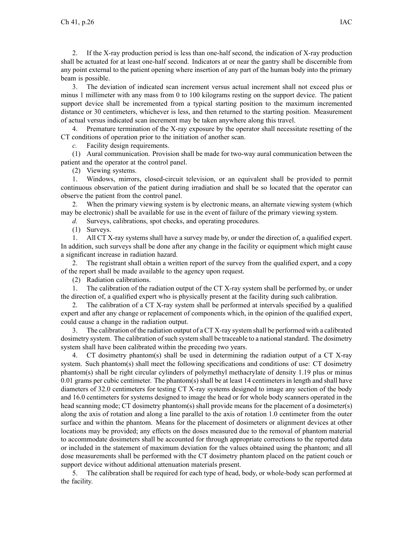2. If the X-ray production period is less than one-half second, the indication of X-ray production shall be actuated for at least one-half second. Indicators at or near the gantry shall be discernible from any point external to the patient opening where insertion of any par<sup>t</sup> of the human body into the primary beam is possible.

3. The deviation of indicated scan increment versus actual increment shall not exceed plus or minus 1 millimeter with any mass from 0 to 100 kilograms resting on the suppor<sup>t</sup> device. The patient suppor<sup>t</sup> device shall be incremented from <sup>a</sup> typical starting position to the maximum incremented distance or 30 centimeters, whichever is less, and then returned to the starting position. Measurement of actual versus indicated scan increment may be taken anywhere along this travel.

4. Premature termination of the X-ray exposure by the operator shall necessitate resetting of the CT conditions of operation prior to the initiation of another scan.

*c.* Facility design requirements.

(1) Aural communication. Provision shall be made for two-way aural communication between the patient and the operator at the control panel.

(2) Viewing systems.

1. Windows, mirrors, closed-circuit television, or an equivalent shall be provided to permit continuous observation of the patient during irradiation and shall be so located that the operator can observe the patient from the control panel.

2. When the primary viewing system is by electronic means, an alternate viewing system (which may be electronic) shall be available for use in the event of failure of the primary viewing system.

*d.* Surveys, calibrations, spo<sup>t</sup> checks, and operating procedures.

(1) Surveys.

1. All CT X-ray systems shall have <sup>a</sup> survey made by, or under the direction of, <sup>a</sup> qualified expert. In addition, such surveys shall be done after any change in the facility or equipment which might cause <sup>a</sup> significant increase in radiation hazard.

2. The registrant shall obtain <sup>a</sup> written repor<sup>t</sup> of the survey from the qualified expert, and <sup>a</sup> copy of the repor<sup>t</sup> shall be made available to the agency upon request.

(2) Radiation calibrations.

1. The calibration of the radiation output of the CT X-ray system shall be performed by, or under the direction of, <sup>a</sup> qualified exper<sup>t</sup> who is physically presen<sup>t</sup> at the facility during such calibration.

2. The calibration of <sup>a</sup> CT X-ray system shall be performed at intervals specified by <sup>a</sup> qualified exper<sup>t</sup> and after any change or replacement of components which, in the opinion of the qualified expert, could cause <sup>a</sup> change in the radiation output.

3. The calibration of the radiation output of <sup>a</sup> CT X-ray system shall be performed with <sup>a</sup> calibrated dosimetry system. The calibration of such system shall be traceable to a national standard. The dosimetry system shall have been calibrated within the preceding two years.

4. CT dosimetry phantom(s) shall be used in determining the radiation output of <sup>a</sup> CT X-ray system. Such phantom(s) shall meet the following specifications and conditions of use: CT dosimetry phantom(s) shall be right circular cylinders of polymethyl methacrylate of density 1.19 plus or minus 0.01 grams per cubic centimeter. The phantom(s) shall be at least 14 centimeters in length and shall have diameters of 32.0 centimeters for testing CT X-ray systems designed to image any section of the body and 16.0 centimeters for systems designed to image the head or for whole body scanners operated in the head scanning mode; CT dosimetry phantom(s) shall provide means for the placement of a dosimeter(s) along the axis of rotation and along <sup>a</sup> line parallel to the axis of rotation 1.0 centimeter from the outer surface and within the phantom. Means for the placement of dosimeters or alignment devices at other locations may be provided; any effects on the doses measured due to the removal of phantom material to accommodate dosimeters shall be accounted for through appropriate corrections to the reported data or included in the statement of maximum deviation for the values obtained using the phantom; and all dose measurements shall be performed with the CT dosimetry phantom placed on the patient couch or suppor<sup>t</sup> device without additional attenuation materials present.

5. The calibration shall be required for each type of head, body, or whole-body scan performed at the facility.